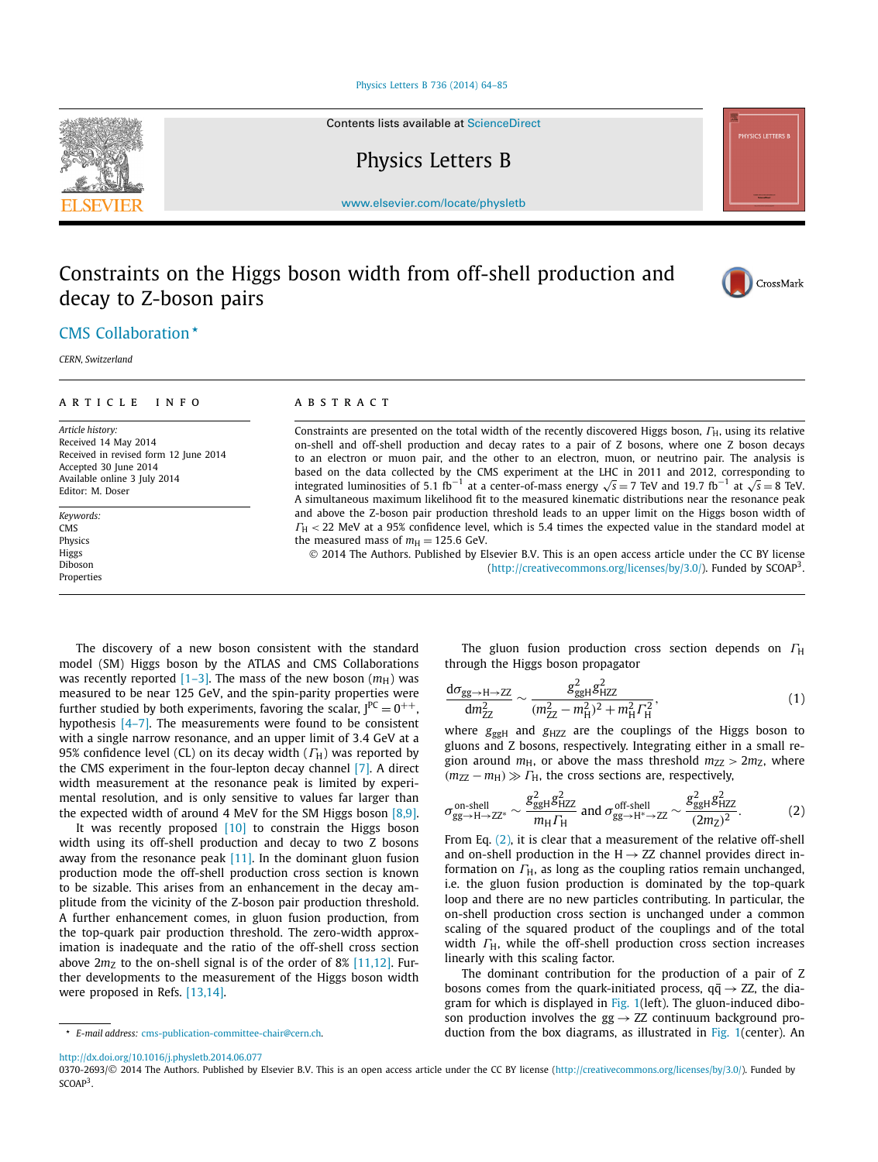#### [Physics Letters B 736 \(2014\) 64–85](http://dx.doi.org/10.1016/j.physletb.2014.06.077)

Contents lists available at [ScienceDirect](http://www.ScienceDirect.com/)

Physics Letters B

[www.elsevier.com/locate/physletb](http://www.elsevier.com/locate/physletb)

# Constraints on the Higgs boson width from off-shell production and decay to Z-boson pairs

# .CMS [Collaboration](#page-6-0) *-*

*CERN, Switzerland*

#### A R T I C L E I N F O A B S T R A C T

*Article history:* Received 14 May 2014 Received in revised form 12 June 2014 Accepted 30 June 2014 Available online 3 July 2014 Editor: M. Doser

*Keywords:* CMS Physics Higgs Diboson Properties

Constraints are presented on the total width of the recently discovered Higgs boson, *Γ*H, using its relative on-shell and off-shell production and decay rates to a pair of Z bosons, where one Z boson decays to an electron or muon pair, and the other to an electron, muon, or neutrino pair. The analysis is based on the data collected by the CMS experiment at the LHC in 2011 and 2012, corresponding to integrated luminosities of <sup>5</sup>*.*1 fb−<sup>1</sup> at <sup>a</sup> center-of-mass energy <sup>√</sup>*<sup>s</sup>* <sup>=</sup> 7 TeV and <sup>19</sup>*.*7 fb−<sup>1</sup> at <sup>√</sup>*<sup>s</sup>* <sup>=</sup> 8 TeV. A simultaneous maximum likelihood fit to the measured kinematic distributions near the resonance peak and above the Z-boson pair production threshold leads to an upper limit on the Higgs boson width of *Γ*<sup>H</sup> *<* 22 MeV at a 95% confidence level, which is 5.4 times the expected value in the standard model at the measured mass of  $m_H = 125.6$  GeV.

© 2014 The Authors. Published by Elsevier B.V. This is an open access article under the CC BY license [\(http://creativecommons.org/licenses/by/3.0/\)](http://creativecommons.org/licenses/by/3.0/). Funded by SCOAP3.

The discovery of a new boson consistent with the standard model (SM) Higgs boson by the ATLAS and CMS Collaborations was recently reported  $[1-3]$ . The mass of the new boson  $(m_H)$  was measured to be near 125 GeV, and the spin-parity properties were further studied by both experiments, favoring the scalar,  $J^{PC} = 0^{++}$ , hypothesis  $[4-7]$ . The measurements were found to be consistent with a single narrow resonance, and an upper limit of 3*.*4 GeV at a 95% confidence level (CL) on its decay width ( $\Gamma$ <sub>H</sub>) was reported by the CMS experiment in the four-lepton decay channel [\[7\].](#page-5-0) A direct width measurement at the resonance peak is limited by experimental resolution, and is only sensitive to values far larger than the expected width of around 4 MeV for the SM Higgs boson [\[8,9\].](#page-5-0)

It was recently proposed [\[10\]](#page-5-0) to constrain the Higgs boson width using its off-shell production and decay to two Z bosons away from the resonance peak [\[11\].](#page-5-0) In the dominant gluon fusion production mode the off-shell production cross section is known to be sizable. This arises from an enhancement in the decay amplitude from the vicinity of the Z-boson pair production threshold. A further enhancement comes, in gluon fusion production, from the top-quark pair production threshold. The zero-width approximation is inadequate and the ratio of the off-shell cross section above 2m<sub>Z</sub> to the on-shell signal is of the order of 8% [\[11,12\].](#page-5-0) Further developments to the measurement of the Higgs boson width were proposed in Refs. [\[13,14\].](#page-5-0)

The gluon fusion production cross section depends on *Γ*<sub>H</sub> through the Higgs boson propagator

$$
\frac{d\sigma_{gg \to H \to ZZ}}{dm_{ZZ}^2} \sim \frac{g_{ggH}^2 g_{HZZ}^2}{(m_{ZZ}^2 - m_H^2)^2 + m_H^2 \Gamma_H^2},
$$
(1)

where  $g_{ggH}$  and  $g_{HZZ}$  are the couplings of the Higgs boson to gluons and Z bosons, respectively. Integrating either in a small region around  $m_H$ , or above the mass threshold  $m_{ZZ} > 2m_Z$ , where  $(m_{ZZ} - m_H) \gg \Gamma_H$ , the cross sections are, respectively,

$$
\sigma_{gg \to H \to ZZ^*}^{on-shell} \sim \frac{g_{ggH}^2 g_{HZZ}^2}{m_H \Gamma_H} \text{ and } \sigma_{gg \to H^* \to ZZ}^{off-shell} \sim \frac{g_{ggH}^2 g_{HZZ}^2}{(2m_Z)^2}.
$$
 (2)

From Eq. (2), it is clear that a measurement of the relative off-shell and on-shell production in the  $H \rightarrow ZZ$  channel provides direct information on *Γ*H, as long as the coupling ratios remain unchanged, i.e. the gluon fusion production is dominated by the top-quark loop and there are no new particles contributing. In particular, the on-shell production cross section is unchanged under a common scaling of the squared product of the couplings and of the total width *Γ*<sub>H</sub>, while the off-shell production cross section increases linearly with this scaling factor.

The dominant contribution for the production of a pair of Z bosons comes from the quark-initiated process,  $q\bar{q} \rightarrow ZZ$ , the diagram for which is displayed in [Fig. 1\(](#page-1-0)left). The gluon-induced diboson production involves the  $gg \rightarrow ZZ$  continuum background production from the box diagrams, as illustrated in [Fig. 1\(](#page-1-0)center). An





*<sup>-</sup> E-mail address:* [cms-publication-committee-chair@cern.ch](mailto:cms-publication-committee-chair@cern.ch).

<sup>0370-2693/© 2014</sup> The Authors. Published by Elsevier B.V. This is an open access article under the CC BY license [\(http://creativecommons.org/licenses/by/3.0/\)](http://creativecommons.org/licenses/by/3.0/). Funded by SCOAP<sup>3</sup>.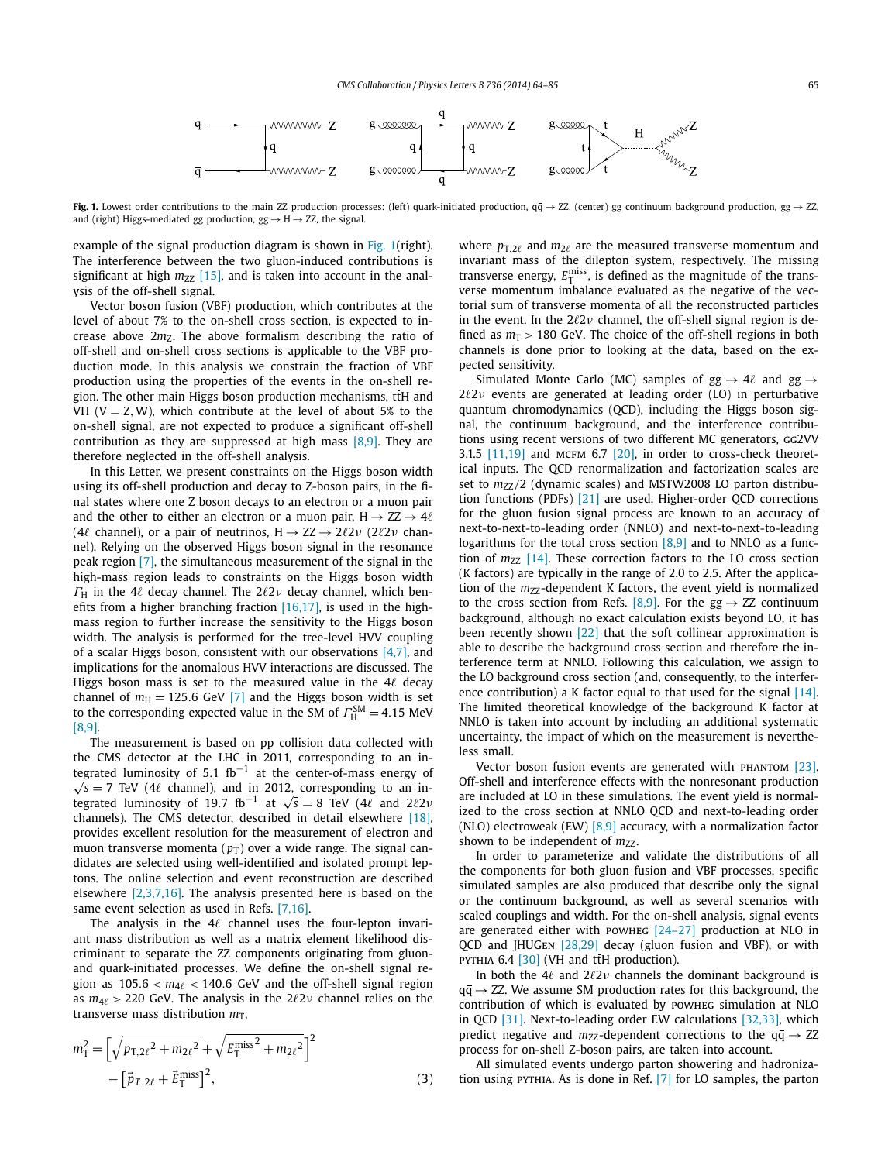<span id="page-1-0"></span>

**Fig. 1.** Lowest order contributions to the main ZZ production processes: (left) quark-initiated production, q<sub>Q</sub> → ZZ, (center) gg continuum background production, gg → ZZ, and (right) Higgs-mediated gg production,  $gg \rightarrow H \rightarrow ZZ$ , the signal.

example of the signal production diagram is shown in Fig. 1(right). The interference between the two gluon-induced contributions is significant at high  $m_{ZZ}$  [\[15\],](#page-5-0) and is taken into account in the analysis of the off-shell signal.

Vector boson fusion (VBF) production, which contributes at the level of about 7% to the on-shell cross section, is expected to increase above 2m<sub>Z</sub>. The above formalism describing the ratio of off-shell and on-shell cross sections is applicable to the VBF production mode. In this analysis we constrain the fraction of VBF production using the properties of the events in the on-shell region. The other main Higgs boson production mechanisms, ttH and VH  $(V = Z, W)$ , which contribute at the level of about 5% to the on-shell signal, are not expected to produce a significant off-shell contribution as they are suppressed at high mass  $[8,9]$ . They are therefore neglected in the off-shell analysis.

In this Letter, we present constraints on the Higgs boson width using its off-shell production and decay to Z-boson pairs, in the final states where one Z boson decays to an electron or a muon pair and the other to either an electron or a muon pair,  $H \rightarrow ZZ \rightarrow 4\ell$ (4 $\ell$  channel), or a pair of neutrinos,  $H \rightarrow ZZ \rightarrow 2\ell 2\nu$  (2 $\ell 2\nu$  channel). Relying on the observed Higgs boson signal in the resonance peak region [\[7\],](#page-5-0) the simultaneous measurement of the signal in the high-mass region leads to constraints on the Higgs boson width  $\Gamma_{\text{H}}$  in the 4 $\ell$  decay channel. The 2 $\ell$ 2 $\nu$  decay channel, which benefits from a higher branching fraction  $[16,17]$ , is used in the highmass region to further increase the sensitivity to the Higgs boson width. The analysis is performed for the tree-level HVV coupling of a scalar Higgs boson, consistent with our observations [\[4,7\],](#page-5-0) and implications for the anomalous HVV interactions are discussed. The Higgs boson mass is set to the measured value in the  $4\ell$  decay channel of  $m_H = 125.6$  GeV [\[7\]](#page-5-0) and the Higgs boson width is set to the corresponding expected value in the SM of  $\Gamma_{\rm H}^{\rm SM} = 4.15$  MeV [\[8,9\].](#page-5-0)

The measurement is based on pp collision data collected with the CMS detector at the LHC in 2011, corresponding to an integrated luminosity of 5*.*1 fb−<sup>1</sup> at the center-of-mass energy of  $\sqrt{s}$  = 7 TeV (4 $\ell$  channel), and in 2012, corresponding to an integrated luminosity of 19.7 fb<sup>-1</sup> at  $\sqrt{s} = 8$  TeV (4 $\ell$  and 2 $\ell$ 2*ν* channels). The CMS detector, described in detail elsewhere [\[18\],](#page-6-0) provides excellent resolution for the measurement of electron and muon transverse momenta  $(p<sub>T</sub>)$  over a wide range. The signal candidates are selected using well-identified and isolated prompt leptons. The online selection and event reconstruction are described elsewhere [\[2,3,7,16\].](#page-5-0) The analysis presented here is based on the same event selection as used in Refs. [\[7,16\].](#page-5-0)

The analysis in the  $4\ell$  channel uses the four-lepton invariant mass distribution as well as a matrix element likelihood discriminant to separate the ZZ components originating from gluonand quark-initiated processes. We define the on-shell signal region as  $105.6 < m_{4\ell} < 140.6$  GeV and the off-shell signal region as  $m_{4\ell} > 220$  GeV. The analysis in the  $2\ell 2\nu$  channel relies on the transverse mass distribution  $m<sub>T</sub>$ ,

$$
m_{\rm T}^2 = \left[ \sqrt{p_{\rm T, 2\ell}^2 + m_{2\ell}^2} + \sqrt{E_{\rm T}^{\rm miss}}^2 + m_{2\ell}^2 \right]^2
$$

$$
- \left[ \vec{p}_{\rm T, 2\ell} + \vec{E}_{\rm T}^{\rm miss} \right]^2, \tag{3}
$$

where  $p_{T,2\ell}$  and  $m_{2\ell}$  are the measured transverse momentum and invariant mass of the dilepton system, respectively. The missing transverse energy,  $E_{\text{T}}^{\text{miss}}$ , is defined as the magnitude of the transverse momentum imbalance evaluated as the negative of the vectorial sum of transverse momenta of all the reconstructed particles in the event. In the  $2\ell 2\nu$  channel, the off-shell signal region is defined as  $m<sub>T</sub> > 180$  GeV. The choice of the off-shell regions in both channels is done prior to looking at the data, based on the expected sensitivity.

Simulated Monte Carlo (MC) samples of  $gg \rightarrow 4\ell$  and  $gg \rightarrow$ 22*ν* events are generated at leading order (LO) in perturbative quantum chromodynamics (QCD), including the Higgs boson signal, the continuum background, and the interference contributions using recent versions of two different MC generators, gg2VV 3.1.5  $\left[11,19\right]$  and MCFM 6.7  $\left[20\right]$ , in order to cross-check theoretical inputs. The QCD renormalization and factorization scales are set to  $m_{ZZ}/2$  (dynamic scales) and MSTW2008 LO parton distribution functions (PDFs) [\[21\]](#page-6-0) are used. Higher-order QCD corrections for the gluon fusion signal process are known to an accuracy of next-to-next-to-leading order (NNLO) and next-to-next-to-leading logarithms for the total cross section  $[8,9]$  and to NNLO as a function of  $m_{ZZ}$  [\[14\].](#page-5-0) These correction factors to the LO cross section (K factors) are typically in the range of 2.0 to 2.5. After the application of the *m<sub>77</sub>*-dependent K factors, the event yield is normalized to the cross section from Refs. [\[8,9\].](#page-5-0) For the  $gg \rightarrow ZZ$  continuum background, although no exact calculation exists beyond LO, it has been recently shown [\[22\]](#page-6-0) that the soft collinear approximation is able to describe the background cross section and therefore the interference term at NNLO. Following this calculation, we assign to the LO background cross section (and, consequently, to the interference contribution) a K factor equal to that used for the signal [\[14\].](#page-5-0) The limited theoretical knowledge of the background K factor at NNLO is taken into account by including an additional systematic uncertainty, the impact of which on the measurement is nevertheless small.

Vector boson fusion events are generated with PHANTOM [\[23\].](#page-6-0) Off-shell and interference effects with the nonresonant production are included at LO in these simulations. The event yield is normalized to the cross section at NNLO QCD and next-to-leading order (NLO) electroweak (EW)  $[8,9]$  accuracy, with a normalization factor shown to be independent of  $m_{ZZ}$ .

In order to parameterize and validate the distributions of all the components for both gluon fusion and VBF processes, specific simulated samples are also produced that describe only the signal or the continuum background, as well as several scenarios with scaled couplings and width. For the on-shell analysis, signal events are generated either with powheg [\[24–27\]](#page-6-0) production at NLO in QCD and JHUGen [\[28,29\]](#page-6-0) decay (gluon fusion and VBF), or with pythia 6.4 [\[30\]](#page-6-0) (VH and ttH production).

In both the  $4\ell$  and  $2\ell2\nu$  channels the dominant background is  $q\bar{q} \rightarrow ZZ$ . We assume SM production rates for this background, the contribution of which is evaluated by powheg simulation at NLO in QCD [\[31\].](#page-6-0) Next-to-leading order EW calculations [\[32,33\],](#page-6-0) which predict negative and  $m_{ZZ}$ -dependent corrections to the  $q\bar{q} \rightarrow ZZ$ process for on-shell Z-boson pairs, are taken into account.

All simulated events undergo parton showering and hadronization using pythia. As is done in Ref. [\[7\]](#page-5-0) for LO samples, the parton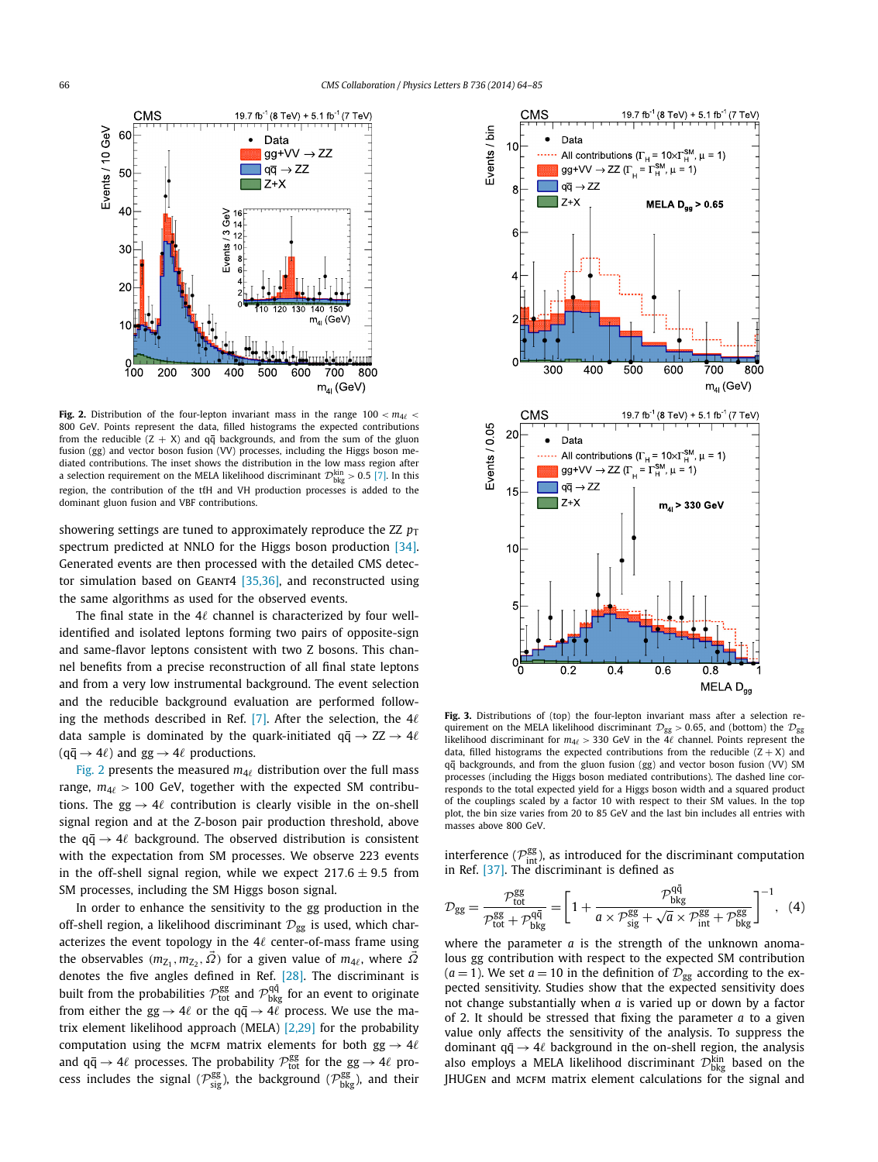<span id="page-2-0"></span>

**Fig. 2.** Distribution of the four-lepton invariant mass in the range  $100 < m_{4\ell} <$ 800 GeV. Points represent the data, filled histograms the expected contributions from the reducible  $(Z + X)$  and  $q\bar{q}$  backgrounds, and from the sum of the gluon fusion (gg) and vector boson fusion (VV) processes, including the Higgs boson mediated contributions. The inset shows the distribution in the low mass region after a selection requirement on the MELA likelihood discriminant  $\mathcal{D}_\mathrm{bkg}^\mathrm{kin}$   $>$  0.5 [\[7\].](#page-5-0) In this region, the contribution of the ttH and VH production processes is added to the dominant gluon fusion and VBF contributions.

showering settings are tuned to approximately reproduce the  $ZZ$   $p_T$ spectrum predicted at NNLO for the Higgs boson production [\[34\].](#page-6-0) Generated events are then processed with the detailed CMS detector simulation based on GEANT4  $[35,36]$ , and reconstructed using the same algorithms as used for the observed events.

The final state in the  $4\ell$  channel is characterized by four wellidentified and isolated leptons forming two pairs of opposite-sign and same-flavor leptons consistent with two Z bosons. This channel benefits from a precise reconstruction of all final state leptons and from a very low instrumental background. The event selection and the reducible background evaluation are performed follow-ing the methods described in Ref. [\[7\].](#page-5-0) After the selection, the  $4\ell$ data sample is dominated by the quark-initiated  $q\bar{q} \rightarrow ZZ \rightarrow 4\ell$  $(q\overline{q} \rightarrow 4\ell)$  and  $gg \rightarrow 4\ell$  productions.

Fig. 2 presents the measured  $m_{4\ell}$  distribution over the full mass range,  $m_{4\ell} > 100$  GeV, together with the expected SM contributions. The  $gg \rightarrow 4\ell$  contribution is clearly visible in the on-shell signal region and at the Z-boson pair production threshold, above the  $q\bar{q} \rightarrow 4\ell$  background. The observed distribution is consistent with the expectation from SM processes. We observe 223 events in the off-shell signal region, while we expect  $217.6 \pm 9.5$  from SM processes, including the SM Higgs boson signal.

In order to enhance the sensitivity to the gg production in the off-shell region, a likelihood discriminant  $\mathcal{D}_{gg}$  is used, which characterizes the event topology in the  $4\ell$  center-of-mass frame using the observables  $(m_{Z_1}, m_{Z_2}, \vec{\Omega})$  for a given value of  $m_{4\ell}$ , where  $\vec{\Omega}$ denotes the five angles defined in Ref. [\[28\].](#page-6-0) The discriminant is built from the probabilities  $\mathcal{P}_{\mathsf{tot}}^{\mathsf{gg}}$  and  $\mathcal{P}_{\mathsf{bkg}}^{\mathsf{q}\bar{\mathsf{q}}}$  for an event to originate from either the  $gg \to 4\ell$  or the  $q\bar{q} \to 4\ell$  process. We use the matrix element likelihood approach (MELA) [\[2,29\]](#page-5-0) for the probability computation using the MCFM matrix elements for both  $gg \rightarrow 4\ell$ and  $q\bar{q} \rightarrow 4\ell$  processes. The probability  $\mathcal{P}_{\text{tot}}^{\text{gg}}$  for the  $gg \rightarrow 4\ell$  process includes the signal ( $\mathcal{P}^{\text{gg}}_{\text{sig}}$ ), the background ( $\mathcal{P}^{\text{gg}}_{\text{bkg}}$ ), and their



**Fig. 3.** Distributions of (top) the four-lepton invariant mass after a selection requirement on the MELA likelihood discriminant  $\mathcal{D}_{gg} > 0.65$ , and (bottom) the  $\mathcal{D}_{gg}$ likelihood discriminant for  $m_{4\ell} > 330$  GeV in the  $4\ell$  channel. Points represent the data, filled histograms the expected contributions from the reducible  $(Z + X)$  and qq backgrounds, and from the gluon fusion (gg) and vector boson fusion (VV) SM processes (including the Higgs boson mediated contributions). The dashed line corresponds to the total expected yield for a Higgs boson width and a squared product of the couplings scaled by a factor 10 with respect to their SM values. In the top plot, the bin size varies from 20 to 85 GeV and the last bin includes all entries with masses above 800 GeV.

interference ( $\mathcal{P}_{\text{int}}^{\text{gg}}$ ), as introduced for the discriminant computation in Ref. [\[37\].](#page-6-0) The discriminant is defined as

$$
\mathcal{D}_{gg} = \frac{\mathcal{P}_{tot}^{gg}}{\mathcal{P}_{tot}^{gg} + \mathcal{P}_{bkg}^{q\bar{q}}} = \left[1 + \frac{\mathcal{P}_{bkg}^{q\bar{q}}}{a \times \mathcal{P}_{sig}^{gg} + \sqrt{a} \times \mathcal{P}_{int}^{gg} + \mathcal{P}_{bkg}^{gg}}\right]^{-1}, \tag{4}
$$

where the parameter *a* is the strength of the unknown anomalous gg contribution with respect to the expected SM contribution  $(a = 1)$ . We set  $a = 10$  in the definition of  $\mathcal{D}_{gg}$  according to the expected sensitivity. Studies show that the expected sensitivity does not change substantially when *a* is varied up or down by a factor of 2. It should be stressed that fixing the parameter *a* to a given value only affects the sensitivity of the analysis. To suppress the dominant  $q\bar{q} \rightarrow 4\ell$  background in the on-shell region, the analysis also employs a MELA likelihood discriminant  $\mathcal{D}_{bkg}^{kin}$  based on the JHUGEN and MCFM matrix element calculations for the signal and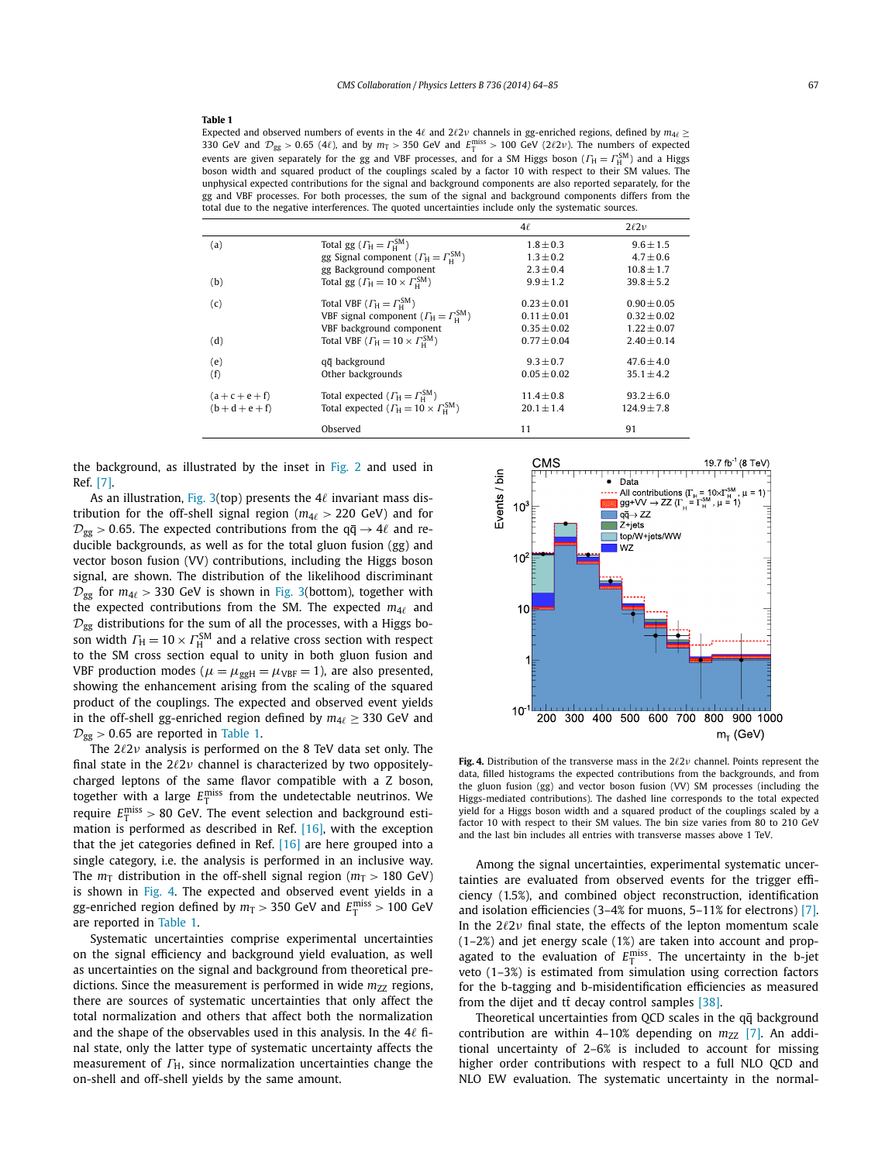Expected and observed numbers of events in the 4l and 2l2v channels in gg-enriched regions, defined by  $m_{4\ell} \geq$ 330 GeV and  $\mathcal{D}_{gg} > 0.65$  (4 $\ell$ ), and by  $m_T > 350$  GeV and  $E_T^{\text{miss}} > 100$  GeV (2 $\ell$ 2 $\nu$ ). The numbers of expected events are given separately for the gg and VBF processes, and for a SM Higgs boson ( $\Gamma_H = \Gamma_H^{SM}$ ) and a Higgs boson width and squared product of the couplings scaled by a factor 10 with respect to their SM values. The unphysical expected contributions for the signal and background components are also reported separately, for the gg and VBF processes. For both processes, the sum of the signal and background components differs from the total due to the negative interferences. The quoted uncertainties include only the systematic sources.

|                   |                                                                       | $4\ell$         | $2\ell 2\nu$    |
|-------------------|-----------------------------------------------------------------------|-----------------|-----------------|
| (a)               | Total gg ( $\Gamma_H = \Gamma_H^{SM}$ )                               | $1.8 \pm 0.3$   | $9.6 \pm 1.5$   |
|                   | gg Signal component ( $\Gamma_{\rm H} = \Gamma_{\rm u}^{\rm SM}$ )    | $1.3 \pm 0.2$   | $4.7 \pm 0.6$   |
|                   | gg Background component                                               | $2.3 \pm 0.4$   | $10.8 \pm 1.7$  |
| (b)               | Total gg ( $\Gamma_{\rm H} = 10 \times \Gamma_{\rm H}^{\rm SM}$ )     | $9.9 \pm 1.2$   | $39.8 \pm 5.2$  |
| (c)               | Total VBF $(\Gamma_{\rm H} = \Gamma_{\rm H}^{\rm SM})$                | $0.23 \pm 0.01$ | $0.90 \pm 0.05$ |
|                   | VBF signal component ( $\Gamma_{\rm H} = \Gamma_{\rm u}^{\rm SM}$ )   | $0.11 \pm 0.01$ | $0.32 \pm 0.02$ |
|                   | VBF background component                                              | $0.35 \pm 0.02$ | $1.22 \pm 0.07$ |
| (d)               | Total VBF ( $\Gamma_{\rm H} = 10 \times \Gamma_{\rm H}^{\rm SM}$ )    | $0.77 + 0.04$   | $2.40 + 0.14$   |
| (e)               | qq background                                                         | $9.3 + 0.7$     | $47.6 + 4.0$    |
| (f)               | Other backgrounds                                                     | $0.05 \pm 0.02$ | $35.1 \pm 4.2$  |
| $(a + c + e + f)$ | Total expected $(\Gamma_{\rm H} = \Gamma_{\rm H}^{\rm SM})$           | $11.4 \pm 0.8$  | $93.2 \pm 6.0$  |
| $(b+d+e+f)$       | Total expected $(\Gamma_{\rm H} = 10 \times \Gamma_{\rm u}^{\rm SM})$ | $20.1 \pm 1.4$  | $124.9 \pm 7.8$ |
|                   | Observed                                                              | 11              | 91              |

the background, as illustrated by the inset in [Fig. 2](#page-2-0) and used in Ref. [\[7\].](#page-5-0)

As an illustration, [Fig. 3\(](#page-2-0)top) presents the  $4\ell$  invariant mass distribution for the off-shell signal region ( $m_{4\ell}$  > 220 GeV) and for  $\mathcal{D}_{gg}$  > 0.65. The expected contributions from the  $q\bar{q} \rightarrow 4\ell$  and reducible backgrounds, as well as for the total gluon fusion (gg) and vector boson fusion (VV) contributions, including the Higgs boson signal, are shown. The distribution of the likelihood discriminant  $D_{gg}$  for  $m_{4\ell} > 330$  GeV is shown in [Fig. 3\(](#page-2-0)bottom), together with the expected contributions from the SM. The expected  $m_{4\ell}$  and  $D_{gg}$  distributions for the sum of all the processes, with a Higgs boson width  $\varGamma_{\rm H} = 10 \times \varGamma_{\rm H}^{\rm SM}$  and a relative cross section with respect to the SM cross section equal to unity in both gluon fusion and VBF production modes ( $\mu = \mu_{ggH} = \mu_{VBF} = 1$ ), are also presented, showing the enhancement arising from the scaling of the squared product of the couplings. The expected and observed event yields in the off-shell gg-enriched region defined by  $m_{4\ell} \geq 330$  GeV and  $D_{gg}$  > 0.65 are reported in Table 1.

The 22*ν* analysis is performed on the 8 TeV data set only. The final state in the  $2\ell 2\nu$  channel is characterized by two oppositelycharged leptons of the same flavor compatible with a Z boson, together with a large  $E_{\text{T}}^{\text{miss}}$  from the undetectable neutrinos. We require  $E_{\text{T}}^{\text{miss}} > 80$  GeV. The event selection and background estimation is performed as described in Ref. [\[16\],](#page-5-0) with the exception that the jet categories defined in Ref.  $[16]$  are here grouped into a single category, i.e. the analysis is performed in an inclusive way. The  $m<sub>T</sub>$  distribution in the off-shell signal region ( $m<sub>T</sub>$  > 180 GeV) is shown in Fig. 4. The expected and observed event yields in a gg-enriched region defined by  $m_\text{T} > 350$  GeV and  $E_\text{T}^\text{miss} > 100$  GeV are reported in Table 1.

Systematic uncertainties comprise experimental uncertainties on the signal efficiency and background yield evaluation, as well as uncertainties on the signal and background from theoretical predictions. Since the measurement is performed in wide  $m_{ZZ}$  regions, there are sources of systematic uncertainties that only affect the total normalization and others that affect both the normalization and the shape of the observables used in this analysis. In the  $4\ell$  final state, only the latter type of systematic uncertainty affects the measurement of *Γ*<sub>H</sub>, since normalization uncertainties change the on-shell and off-shell yields by the same amount.



**Fig. 4.** Distribution of the transverse mass in the 22*ν* channel. Points represent the data, filled histograms the expected contributions from the backgrounds, and from the gluon fusion (gg) and vector boson fusion (VV) SM processes (including the Higgs-mediated contributions). The dashed line corresponds to the total expected yield for a Higgs boson width and a squared product of the couplings scaled by a factor 10 with respect to their SM values. The bin size varies from 80 to 210 GeV and the last bin includes all entries with transverse masses above 1 TeV.

Among the signal uncertainties, experimental systematic uncertainties are evaluated from observed events for the trigger efficiency (1.5%), and combined object reconstruction, identification and isolation efficiencies (3–4% for muons, 5–11% for electrons) [\[7\].](#page-5-0) In the 22*ν* final state, the effects of the lepton momentum scale (1–2%) and jet energy scale (1%) are taken into account and propagated to the evaluation of  $E_{\text{T}}^{\text{miss}}$ . The uncertainty in the b-jet veto (1–3%) is estimated from simulation using correction factors for the b-tagging and b-misidentification efficiencies as measured from the dijet and tt decay control samples [\[38\].](#page-6-0)

Theoretical uncertainties from QCD scales in the qq background contribution are within  $4-10\%$  depending on  $m_{ZZ}$  [\[7\].](#page-5-0) An additional uncertainty of 2–6% is included to account for missing higher order contributions with respect to a full NLO QCD and NLO EW evaluation. The systematic uncertainty in the normal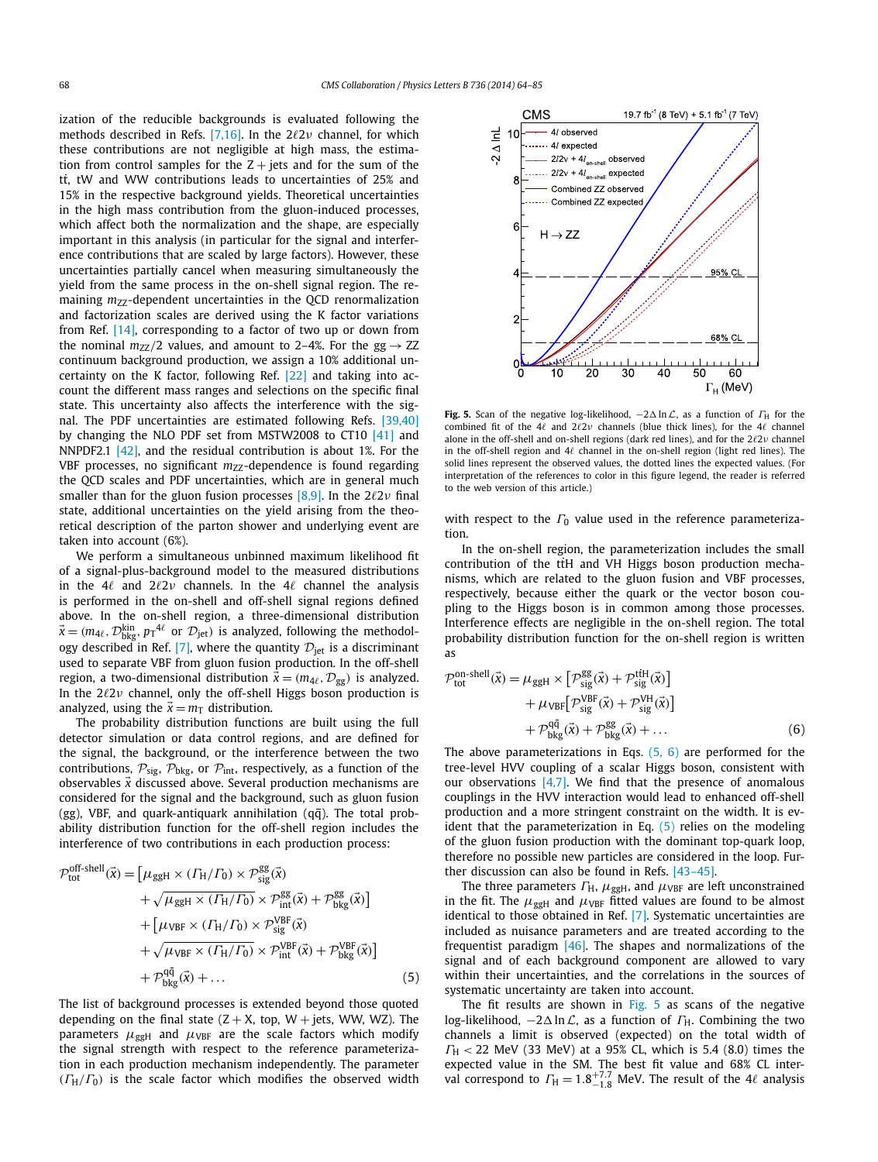ization of the reducible backgrounds is evaluated following the methods described in Refs. [\[7,16\].](#page-5-0) In the 22*ν* channel, for which these contributions are not negligible at high mass, the estimation from control samples for the  $Z +$  jets and for the sum of the tt, tW and WW contributions leads to uncertainties of 25% and 15% in the respective background yields. Theoretical uncertainties in the high mass contribution from the gluon-induced processes, which affect both the normalization and the shape, are especially important in this analysis (in particular for the signal and interference contributions that are scaled by large factors). However, these uncertainties partially cancel when measuring simultaneously the yield from the same process in the on-shell signal region. The remaining *m<sub>77</sub>*-dependent uncertainties in the QCD renormalization and factorization scales are derived using the K factor variations from Ref. [\[14\],](#page-5-0) corresponding to a factor of two up or down from the nominal  $m_{7Z}/2$  values, and amount to 2–4%. For the gg  $\rightarrow$  ZZ continuum background production, we assign a 10% additional uncertainty on the K factor, following Ref. [\[22\]](#page-6-0) and taking into account the different mass ranges and selections on the specific final state. This uncertainty also affects the interference with the signal. The PDF uncertainties are estimated following Refs. [\[39,40\]](#page-6-0) by changing the NLO PDF set from MSTW2008 to CT10 [\[41\]](#page-6-0) and NNPDF2.1 [\[42\],](#page-6-0) and the residual contribution is about 1%. For the VBF processes, no significant *m*<sub>ZZ</sub>-dependence is found regarding the QCD scales and PDF uncertainties, which are in general much smaller than for the gluon fusion processes [\[8,9\].](#page-5-0) In the 22*ν* final state, additional uncertainties on the yield arising from the theoretical description of the parton shower and underlying event are taken into account (6%).

We perform a simultaneous unbinned maximum likelihood fit of a signal-plus-background model to the measured distributions in the  $4\ell$  and  $2\ell 2\nu$  channels. In the  $4\ell$  channel the analysis is performed in the on-shell and off-shell signal regions defined above. In the on-shell region, a three-dimensional distribution  $\vec{x} = (m_{4\ell}, \mathcal{D}_{\text{bkg}}^{\text{kin}}, p_{\text{T}}^{\mathcal{A}\ell}$  or  $\mathcal{D}_{\text{jet}}$ ) is analyzed, following the methodol-ogy described in Ref. [\[7\],](#page-5-0) where the quantity  $\mathcal{D}_{jet}$  is a discriminant used to separate VBF from gluon fusion production. In the off-shell region, a two-dimensional distribution  $\vec{x} = (m_{4\ell}, \mathcal{D}_{gg})$  is analyzed. In the 22*ν* channel, only the off-shell Higgs boson production is analyzed, using the  $\vec{x} = m<sub>T</sub>$  distribution.

The probability distribution functions are built using the full detector simulation or data control regions, and are defined for the signal, the background, or the interference between the two contributions,  $P_{sig}$ ,  $P_{bkg}$ , or  $P_{int}$ , respectively, as a function of the observables  $\vec{x}$  discussed above. Several production mechanisms are considered for the signal and the background, such as gluon fusion (gg), VBF, and quark-antiquark annihilation ( $q\bar{q}$ ). The total probability distribution function for the off-shell region includes the interference of two contributions in each production process:

$$
\mathcal{P}_{\text{tot}}^{\text{off-shell}}(\vec{x}) = \left[\mu_{\text{ggH}} \times (F_H/F_0) \times \mathcal{P}_{\text{sig}}^{\text{gg}}(\vec{x}) + \sqrt{\mu_{\text{ggH}} \times (F_H/F_0)} \times \mathcal{P}_{\text{int}}^{\text{gg}}(\vec{x}) + \mathcal{P}_{\text{bkg}}^{\text{gg}}(\vec{x})\right] + \left[\mu_{\text{VBF}} \times (F_H/F_0) \times \mathcal{P}_{\text{sig}}^{\text{VBF}}(\vec{x}) + \sqrt{\mu_{\text{VBF}} \times (F_H/F_0)} \times \mathcal{P}_{\text{int}}^{\text{VBF}}(\vec{x}) + \mathcal{P}_{\text{bkg}}^{\text{VBF}}(\vec{x})\right] + \mathcal{P}_{\text{bkg}}^{\text{q}\bar{\text{q}}}(\vec{x}) + \dots
$$
\n(5)

The list of background processes is extended beyond those quoted depending on the final state  $(Z + X, \text{top}, W + \text{jets}, WW, WZ)$ . The parameters  $\mu_{ggH}$  and  $\mu_{VBF}$  are the scale factors which modify the signal strength with respect to the reference parameterization in each production mechanism independently. The parameter *(Γ*H*/Γ*0*)* is the scale factor which modifies the observed width



**Fig. 5.** Scan of the negative log-likelihood,  $-2\Delta \ln \mathcal{L}$ , as a function of  $\Gamma_{\text{H}}$  for the combined fit of the 4 $\ell$  and  $2\ell 2\nu$  channels (blue thick lines), for the 4 $\ell$  channel alone in the off-shell and on-shell regions (dark red lines), and for the 2l2ν channel in the off-shell region and  $4\ell$  channel in the on-shell region (light red lines). The solid lines represent the observed values, the dotted lines the expected values. (For interpretation of the references to color in this figure legend, the reader is referred to the web version of this article.)

with respect to the  $\Gamma_0$  value used in the reference parameterization.

In the on-shell region, the parameterization includes the small contribution of the ttH and VH Higgs boson production mechanisms, which are related to the gluon fusion and VBF processes, respectively, because either the quark or the vector boson coupling to the Higgs boson is in common among those processes. Interference effects are negligible in the on-shell region. The total probability distribution function for the on-shell region is written as

$$
\mathcal{P}_{\text{tot}}^{\text{on-shell}}(\vec{x}) = \mu_{\text{ggH}} \times \left[ \mathcal{P}_{\text{sig}}^{\text{gg}}(\vec{x}) + \mathcal{P}_{\text{sig}}^{\text{tH}}(\vec{x}) \right] \n+ \mu_{\text{VBF}} \left[ \mathcal{P}_{\text{sig}}^{\text{VBF}}(\vec{x}) + \mathcal{P}_{\text{sig}}^{\text{VH}}(\vec{x}) \right] \n+ \mathcal{P}_{\text{bkg}}^{\text{qq}}(\vec{x}) + \mathcal{P}_{\text{bkg}}^{\text{gg}}(\vec{x}) + \dots
$$
\n(6)

The above parameterizations in Eqs.  $(5, 6)$  are performed for the tree-level HVV coupling of a scalar Higgs boson, consistent with our observations  $[4,7]$ . We find that the presence of anomalous couplings in the HVV interaction would lead to enhanced off-shell production and a more stringent constraint on the width. It is evident that the parameterization in Eq.  $(5)$  relies on the modeling of the gluon fusion production with the dominant top-quark loop, therefore no possible new particles are considered in the loop. Further discussion can also be found in Refs. [\[43–45\].](#page-6-0)

The three parameters  $\Gamma_{\text{H}}$ ,  $\mu_{\text{ggH}}$ , and  $\mu_{\text{VBF}}$  are left unconstrained in the fit. The  $\mu_{ggH}$  and  $\mu_{VBF}$  fitted values are found to be almost identical to those obtained in Ref. [\[7\].](#page-5-0) Systematic uncertainties are included as nuisance parameters and are treated according to the frequentist paradigm [\[46\].](#page-6-0) The shapes and normalizations of the signal and of each background component are allowed to vary within their uncertainties, and the correlations in the sources of systematic uncertainty are taken into account.

The fit results are shown in Fig.  $5$  as scans of the negative log-likelihood,  $-2Δ ln ℓ$ , as a function of *Γ*<sub>H</sub>. Combining the two channels a limit is observed (expected) on the total width of *Γ*<sup>H</sup> *<* 22 MeV (33 MeV) at a 95% CL, which is 5.4 (8.0) times the expected value in the SM. The best fit value and 68% CL inter-<br>val correspond to  $\Gamma_{\text{H}} = 1.8_{-1.8}^{+7.7}$  MeV. The result of the 4*l* analysis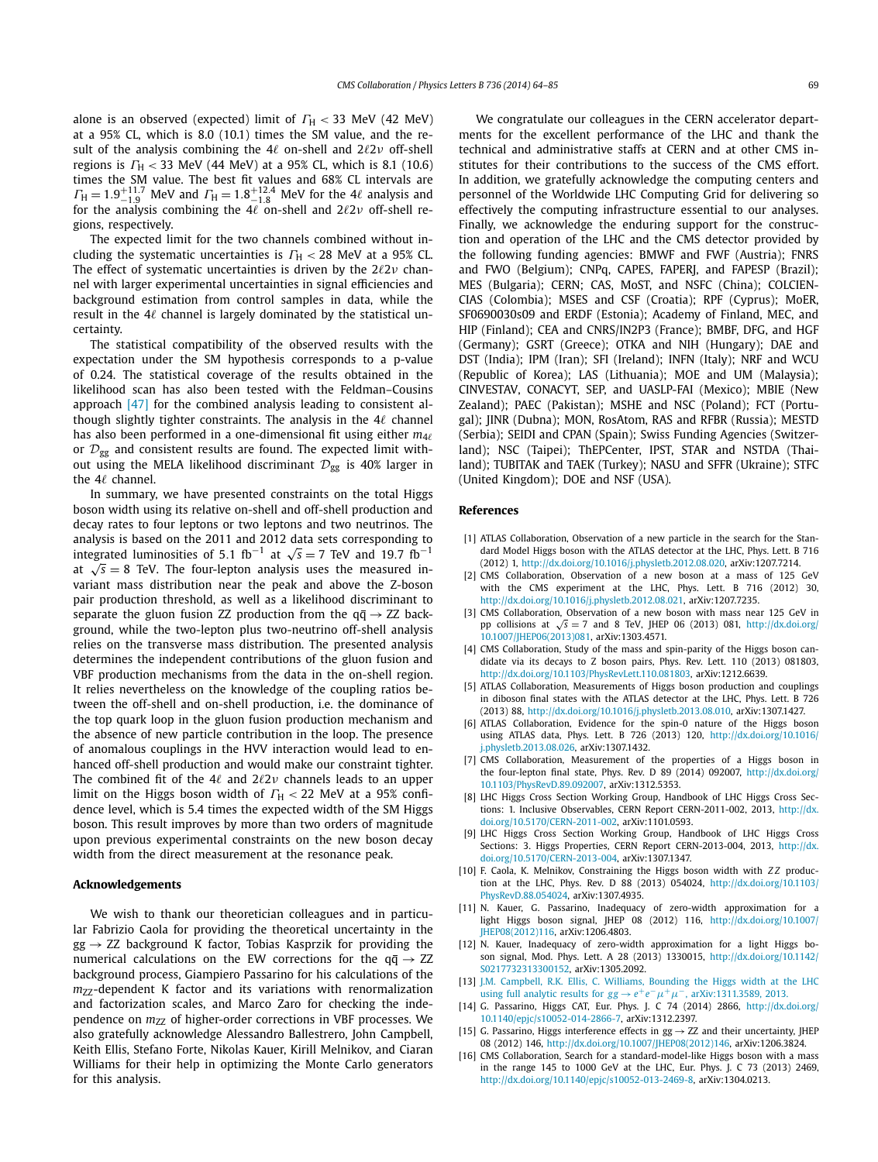<span id="page-5-0"></span>alone is an observed (expected) limit of  $Γ$ <sup>H</sup> < 33 MeV (42 MeV) at a 95% CL, which is 8.0 (10.1) times the SM value, and the result of the analysis combining the 4ℓ on-shell and  $2ℓ2ν$  off-shell regions is *Γ*<sup>H</sup> *<* 33 MeV (44 MeV) at a 95% CL, which is 8.1 (10.6) times the SM value. The best fit values and 68% CL intervals are  $\Gamma_{\text{H}} = 1.9^{+11.7}_{-1.9}$  MeV and  $\Gamma_{\text{H}} = 1.8^{+12.4}_{-1.8}$  MeV for the 4 $\ell$  analysis and for the analysis combining the 4 $\ell$  on-shell and 2 $\ell$ 2 $\nu$  gions, respectively.

The expected limit for the two channels combined without including the systematic uncertainties is  $\Gamma_H < 28$  MeV at a 95% CL. The effect of systematic uncertainties is driven by the 22*ν* channel with larger experimental uncertainties in signal efficiencies and background estimation from control samples in data, while the result in the  $4\ell$  channel is largely dominated by the statistical uncertainty.

The statistical compatibility of the observed results with the expectation under the SM hypothesis corresponds to a p-value of 0.24. The statistical coverage of the results obtained in the likelihood scan has also been tested with the Feldman–Cousins approach [\[47\]](#page-6-0) for the combined analysis leading to consistent although slightly tighter constraints. The analysis in the  $4\ell$  channel has also been performed in a one-dimensional fit using either *m*4 or  $\mathcal{D}_{gg}$  and consistent results are found. The expected limit without using the MELA likelihood discriminant  $\mathcal{D}_{gg}$  is 40% larger in the  $4\ell$  channel.

In summary, we have presented constraints on the total Higgs boson width using its relative on-shell and off-shell production and decay rates to four leptons or two leptons and two neutrinos. The analysis is based on the 2011 and 2012 data sets corresponding to integrated luminosities of 5.1 fb<sup>-1</sup> at  $\sqrt{s}$  = 7 TeV and 19.7 fb<sup>-1</sup> at  $\sqrt{s} = 8$  TeV. The four-lepton analysis uses the measured invariant mass distribution near the peak and above the Z-boson pair production threshold, as well as a likelihood discriminant to separate the gluon fusion ZZ production from the  $q\bar{q} \rightarrow ZZ$  background, while the two-lepton plus two-neutrino off-shell analysis relies on the transverse mass distribution. The presented analysis determines the independent contributions of the gluon fusion and VBF production mechanisms from the data in the on-shell region. It relies nevertheless on the knowledge of the coupling ratios between the off-shell and on-shell production, i.e. the dominance of the top quark loop in the gluon fusion production mechanism and the absence of new particle contribution in the loop. The presence of anomalous couplings in the HVV interaction would lead to enhanced off-shell production and would make our constraint tighter. The combined fit of the  $4\ell$  and  $2\ell 2\nu$  channels leads to an upper limit on the Higgs boson width of  $Γ$ H < 22 MeV at a 95% confidence level, which is 5.4 times the expected width of the SM Higgs boson. This result improves by more than two orders of magnitude upon previous experimental constraints on the new boson decay width from the direct measurement at the resonance peak.

#### **Acknowledgements**

We wish to thank our theoretician colleagues and in particular Fabrizio Caola for providing the theoretical uncertainty in the  $gg \rightarrow ZZ$  background K factor, Tobias Kasprzik for providing the numerical calculations on the EW corrections for the  $q\bar{q} \rightarrow ZZ$ background process, Giampiero Passarino for his calculations of the  $m_{ZZ}$ -dependent K factor and its variations with renormalization and factorization scales, and Marco Zaro for checking the independence on  $m_{ZZ}$  of higher-order corrections in VBF processes. We also gratefully acknowledge Alessandro Ballestrero, John Campbell, Keith Ellis, Stefano Forte, Nikolas Kauer, Kirill Melnikov, and Ciaran Williams for their help in optimizing the Monte Carlo generators for this analysis.

We congratulate our colleagues in the CERN accelerator departments for the excellent performance of the LHC and thank the technical and administrative staffs at CERN and at other CMS institutes for their contributions to the success of the CMS effort. In addition, we gratefully acknowledge the computing centers and personnel of the Worldwide LHC Computing Grid for delivering so effectively the computing infrastructure essential to our analyses. Finally, we acknowledge the enduring support for the construction and operation of the LHC and the CMS detector provided by the following funding agencies: BMWF and FWF (Austria); FNRS and FWO (Belgium); CNPq, CAPES, FAPERJ, and FAPESP (Brazil); MES (Bulgaria); CERN; CAS, MoST, and NSFC (China); COLCIEN-CIAS (Colombia); MSES and CSF (Croatia); RPF (Cyprus); MoER, SF0690030s09 and ERDF (Estonia); Academy of Finland, MEC, and HIP (Finland); CEA and CNRS/IN2P3 (France); BMBF, DFG, and HGF (Germany); GSRT (Greece); OTKA and NIH (Hungary); DAE and DST (India); IPM (Iran); SFI (Ireland); INFN (Italy); NRF and WCU (Republic of Korea); LAS (Lithuania); MOE and UM (Malaysia); CINVESTAV, CONACYT, SEP, and UASLP-FAI (Mexico); MBIE (New Zealand); PAEC (Pakistan); MSHE and NSC (Poland); FCT (Portugal); JINR (Dubna); MON, RosAtom, RAS and RFBR (Russia); MESTD (Serbia); SEIDI and CPAN (Spain); Swiss Funding Agencies (Switzerland); NSC (Taipei); ThEPCenter, IPST, STAR and NSTDA (Thailand); TUBITAK and TAEK (Turkey); NASU and SFFR (Ukraine); STFC (United Kingdom); DOE and NSF (USA).

#### **References**

- [1] ATLAS Collaboration, Observation of a new particle in the search for the Standard Model Higgs boson with the ATLAS detector at the LHC, Phys. Lett. B 716 (2012) 1, [http://dx.doi.org/10.1016/j.physletb.2012.08.020,](http://dx.doi.org/10.1016/j.physletb.2012.08.020) arXiv:1207.7214.
- [2] CMS Collaboration, Observation of a new boson at a mass of 125 GeV with the CMS experiment at the LHC, Phys. Lett. B 716 (2012) 30, <http://dx.doi.org/10.1016/j.physletb.2012.08.021>, arXiv:1207.7235.
- [3] CMS Collaboration, Observation of a new boson with mass near 125 GeV in pp collisions at  $\sqrt{s} = 7$  and 8 TeV, JHEP 06 (2013) 081, [http://dx.doi.org/](http://dx.doi.org/10.1007/JHEP06(2013)081) [10.1007/JHEP06\(2013\)081](http://dx.doi.org/10.1007/JHEP06(2013)081), arXiv:1303.4571.
- [4] CMS Collaboration, Study of the mass and spin-parity of the Higgs boson candidate via its decays to Z boson pairs, Phys. Rev. Lett. 110 (2013) 081803, <http://dx.doi.org/10.1103/PhysRevLett.110.081803>, arXiv:1212.6639.
- [5] ATLAS Collaboration, Measurements of Higgs boson production and couplings in diboson final states with the ATLAS detector at the LHC, Phys. Lett. B 726 (2013) 88, <http://dx.doi.org/10.1016/j.physletb.2013.08.010>, arXiv:1307.1427.
- [6] ATLAS Collaboration, Evidence for the spin-0 nature of the Higgs boson using ATLAS data, Phys. Lett. B 726 (2013) 120, [http://dx.doi.org/10.1016/](http://dx.doi.org/10.1016/j.physletb.2013.08.026) [j.physletb.2013.08.026](http://dx.doi.org/10.1016/j.physletb.2013.08.026), arXiv:1307.1432.
- [7] CMS Collaboration, Measurement of the properties of a Higgs boson in the four-lepton final state, Phys. Rev. D 89 (2014) 092007, [http://dx.doi.org/](http://dx.doi.org/10.1103/PhysRevD.89.092007) [10.1103/PhysRevD.89.092007,](http://dx.doi.org/10.1103/PhysRevD.89.092007) arXiv:1312.5353.
- [8] LHC Higgs Cross Section Working Group, Handbook of LHC Higgs Cross Sections: 1. Inclusive Observables, CERN Report CERN-2011-002, 2013, [http://dx.](http://dx.doi.org/10.5170/CERN-2011-002) [doi.org/10.5170/CERN-2011-002,](http://dx.doi.org/10.5170/CERN-2011-002) arXiv:1101.0593.
- [9] LHC Higgs Cross Section Working Group, Handbook of LHC Higgs Cross Sections: 3. Higgs Properties, CERN Report CERN-2013-004, 2013, [http://dx.](http://dx.doi.org/10.5170/CERN-2013-004) [doi.org/10.5170/CERN-2013-004,](http://dx.doi.org/10.5170/CERN-2013-004) arXiv:1307.1347.
- [10] F. Caola, K. Melnikov, Constraining the Higgs boson width with *ZZ* production at the LHC, Phys. Rev. D 88 (2013) 054024, [http://dx.doi.org/10.1103/](http://dx.doi.org/10.1103/PhysRevD.88.054024) [PhysRevD.88.054024](http://dx.doi.org/10.1103/PhysRevD.88.054024), arXiv:1307.4935.
- [11] N. Kauer, G. Passarino, Inadequacy of zero-width approximation for a light Higgs boson signal, JHEP 08 (2012) 116, [http://dx.doi.org/10.1007/](http://dx.doi.org/10.1007/JHEP08(2012)116) [JHEP08\(2012\)116](http://dx.doi.org/10.1007/JHEP08(2012)116), arXiv:1206.4803.
- [12] N. Kauer, Inadequacy of zero-width approximation for a light Higgs boson signal, Mod. Phys. Lett. A 28 (2013) 1330015, [http://dx.doi.org/10.1142/](http://dx.doi.org/10.1142/S0217732313300152) [S0217732313300152,](http://dx.doi.org/10.1142/S0217732313300152) arXiv:1305.2092.
- [13] J.M. [Campbell,](http://refhub.elsevier.com/S0370-2693(14)00482-1/bib43616D7062656C6C456C6C697357696C6C69616D733A313331312E333538397631s1) R.K. Ellis, C. Williams, Bounding the Higgs width at the LHC using full analytic results for  $gg \rightarrow e^+e^-\mu^+\mu^-$ , [arXiv:1311.3589,](http://refhub.elsevier.com/S0370-2693(14)00482-1/bib43616D7062656C6C456C6C697357696C6C69616D733A313331312E333538397631s1) 2013.
- [14] G. Passarino, Higgs CAT, Eur. Phys. J. C 74 (2014) 2866, [http://dx.doi.org/](http://dx.doi.org/10.1140/epjc/s10052-014-2866-7) [10.1140/epjc/s10052-014-2866-7](http://dx.doi.org/10.1140/epjc/s10052-014-2866-7), arXiv:1312.2397.
- [15] G. Passarino, Higgs interference effects in  $gg \rightarrow ZZ$  and their uncertainty, JHEP 08 (2012) 146, [http://dx.doi.org/10.1007/JHEP08\(2012\)146](http://dx.doi.org/10.1007/JHEP08(2012)146), arXiv:1206.3824.
- [16] CMS Collaboration, Search for a standard-model-like Higgs boson with a mass in the range 145 to 1000 GeV at the LHC, Eur. Phys. J. C 73 (2013) 2469, <http://dx.doi.org/10.1140/epjc/s10052-013-2469-8>, arXiv:1304.0213.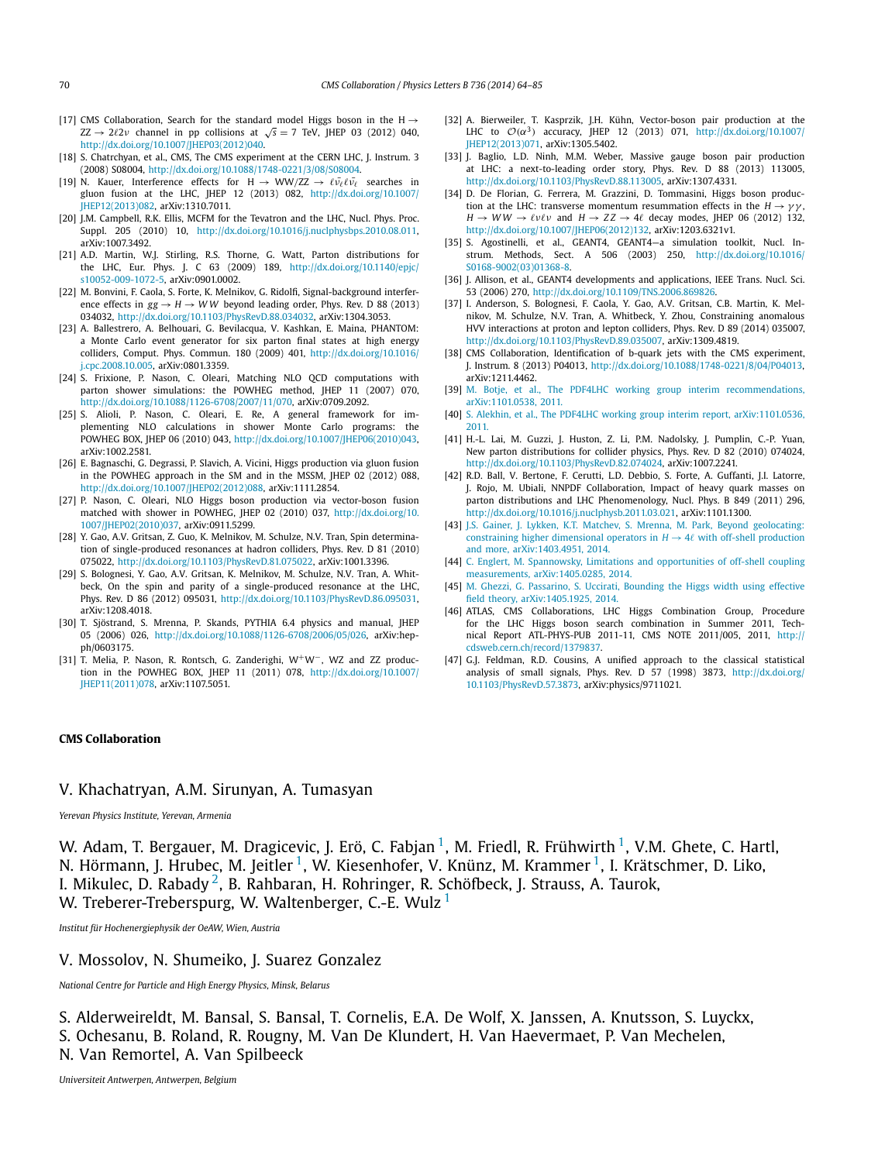- <span id="page-6-0"></span>[17] CMS Collaboration, Search for the standard model Higgs boson in the H  $\rightarrow$  $ZZ \rightarrow 2\ell 2\nu$  channel in pp collisions at  $\sqrt{s} = 7$  TeV, JHEP 03 (2012) 040, [http://dx.doi.org/10.1007/JHEP03\(2012\)040](http://dx.doi.org/10.1007/JHEP03(2012)040).
- [18] S. Chatrchyan, et al., CMS, The CMS experiment at the CERN LHC, J. Instrum. 3 (2008) S08004, <http://dx.doi.org/10.1088/1748-0221/3/08/S08004>.
- [19] N. Kauer, Interference effects for  $H \rightarrow WW/ZZ \rightarrow \ell \bar{\nu}_{\ell} \ell \bar{\nu}_{\ell}$  searches in gluon fusion at the LHC, JHEP 12 (2013) 082, [http://dx.doi.org/10.1007/](http://dx.doi.org/10.1007/JHEP12(2013)082) [JHEP12\(2013\)082](http://dx.doi.org/10.1007/JHEP12(2013)082), arXiv:1310.7011.
- [20] J.M. Campbell, R.K. Ellis, MCFM for the Tevatron and the LHC, Nucl. Phys. Proc. Suppl. 205 (2010) 10, <http://dx.doi.org/10.1016/j.nuclphysbps.2010.08.011>, arXiv:1007.3492.
- [21] A.D. Martin, W.J. Stirling, R.S. Thorne, G. Watt, Parton distributions for the LHC, Eur. Phys. J. C 63 (2009) 189, [http://dx.doi.org/10.1140/epjc/](http://dx.doi.org/10.1140/epjc/s10052-009-1072-5) [s10052-009-1072-5](http://dx.doi.org/10.1140/epjc/s10052-009-1072-5), arXiv:0901.0002.
- [22] M. Bonvini, F. Caola, S. Forte, K. Melnikov, G. Ridolfi, Signal-background interference effects in  $gg \rightarrow H \rightarrow WW$  beyond leading order, Phys. Rev. D 88 (2013) 034032, <http://dx.doi.org/10.1103/PhysRevD.88.034032>, arXiv:1304.3053.
- [23] A. Ballestrero, A. Belhouari, G. Bevilacqua, V. Kashkan, E. Maina, PHANTOM: a Monte Carlo event generator for six parton final states at high energy colliders, Comput. Phys. Commun. 180 (2009) 401, [http://dx.doi.org/10.1016/](http://dx.doi.org/10.1016/j.cpc.2008.10.005) [j.cpc.2008.10.005](http://dx.doi.org/10.1016/j.cpc.2008.10.005), arXiv:0801.3359.
- [24] S. Frixione, P. Nason, C. Oleari, Matching NLO QCD computations with parton shower simulations: the POWHEG method, JHEP 11 (2007) 070, <http://dx.doi.org/10.1088/1126-6708/2007/11/070>, arXiv:0709.2092.
- [25] S. Alioli, P. Nason, C. Oleari, E. Re, A general framework for implementing NLO calculations in shower Monte Carlo programs: the POWHEG BOX, JHEP 06 (2010) 043, [http://dx.doi.org/10.1007/JHEP06\(2010\)043](http://dx.doi.org/10.1007/JHEP06(2010)043), arXiv:1002.2581.
- [26] E. Bagnaschi, G. Degrassi, P. Slavich, A. Vicini, Higgs production via gluon fusion in the POWHEG approach in the SM and in the MSSM, JHEP 02 (2012) 088, [http://dx.doi.org/10.1007/JHEP02\(2012\)088](http://dx.doi.org/10.1007/JHEP02(2012)088), arXiv:1111.2854.
- [27] P. Nason, C. Oleari, NLO Higgs boson production via vector-boson fusion matched with shower in POWHEG, JHEP 02 (2010) 037, [http://dx.doi.org/10.](http://dx.doi.org/10.1007/JHEP02(2010)037) [1007/JHEP02\(2010\)037](http://dx.doi.org/10.1007/JHEP02(2010)037), arXiv:0911.5299.
- [28] Y. Gao, A.V. Gritsan, Z. Guo, K. Melnikov, M. Schulze, N.V. Tran, Spin determination of single-produced resonances at hadron colliders, Phys. Rev. D 81 (2010) 075022, [http://dx.doi.org/10.1103/PhysRevD.81.075022,](http://dx.doi.org/10.1103/PhysRevD.81.075022) arXiv:1001.3396.
- [29] S. Bolognesi, Y. Gao, A.V. Gritsan, K. Melnikov, M. Schulze, N.V. Tran, A. Whitbeck, On the spin and parity of a single-produced resonance at the LHC, Phys. Rev. D 86 (2012) 095031, <http://dx.doi.org/10.1103/PhysRevD.86.095031>, arXiv:1208.4018.
- [30] T. Sjöstrand, S. Mrenna, P. Skands, PYTHIA 6.4 physics and manual, JHEP 05 (2006) 026, [http://dx.doi.org/10.1088/1126-6708/2006/05/026,](http://dx.doi.org/10.1088/1126-6708/2006/05/026) arXiv:hepph/0603175.
- [31] T. Melia, P. Nason, R. Rontsch, G. Zanderighi, W<sup>+</sup>W<sup>−</sup>, WZ and ZZ production in the POWHEG BOX, JHEP 11 (2011) 078, [http://dx.doi.org/10.1007/](http://dx.doi.org/10.1007/JHEP11(2011)078) [JHEP11\(2011\)078](http://dx.doi.org/10.1007/JHEP11(2011)078), arXiv:1107.5051.
- [32] A. Bierweiler, T. Kasprzik, J.H. Kühn, Vector-boson pair production at the LHC to  $\mathcal{O}(\alpha^3)$  accuracy, JHEP 12 (2013) 071, [http://dx.doi.org/10.1007/](http://dx.doi.org/10.1007/JHEP12(2013)071) [JHEP12\(2013\)071](http://dx.doi.org/10.1007/JHEP12(2013)071), arXiv:1305.5402.
- [33] J. Baglio, L.D. Ninh, M.M. Weber, Massive gauge boson pair production at LHC: a next-to-leading order story, Phys. Rev. D 88 (2013) 113005, [http://dx.doi.org/10.1103/PhysRevD.88.113005,](http://dx.doi.org/10.1103/PhysRevD.88.113005) arXiv:1307.4331.
- [34] D. De Florian, G. Ferrera, M. Grazzini, D. Tommasini, Higgs boson production at the LHC: transverse momentum resummation effects in the  $H \rightarrow \gamma \gamma$ ,  $H \rightarrow WW \rightarrow \ell \nu \ell \nu$  and  $H \rightarrow ZZ \rightarrow 4\ell$  decay modes, IHEP 06 (2012) 132, [http://dx.doi.org/10.1007/JHEP06\(2012\)132](http://dx.doi.org/10.1007/JHEP06(2012)132), arXiv:1203.6321v1.
- [35] S. Agostinelli, et al., GEANT4, GEANT4-a simulation toolkit, Nucl. Instrum. Methods, Sect. A 506 (2003) 250, [http://dx.doi.org/10.1016/](http://dx.doi.org/10.1016/S0168-9002(03)01368-8) [S0168-9002\(03\)01368-8.](http://dx.doi.org/10.1016/S0168-9002(03)01368-8)
- [36] J. Allison, et al., GEANT4 developments and applications, IEEE Trans. Nucl. Sci. 53 (2006) 270, <http://dx.doi.org/10.1109/TNS.2006.869826>.
- [37] I. Anderson, S. Bolognesi, F. Caola, Y. Gao, A.V. Gritsan, C.B. Martin, K. Melnikov, M. Schulze, N.V. Tran, A. Whitbeck, Y. Zhou, Constraining anomalous HVV interactions at proton and lepton colliders, Phys. Rev. D 89 (2014) 035007, <http://dx.doi.org/10.1103/PhysRevD.89.035007>, arXiv:1309.4819.
- [38] CMS Collaboration, Identification of b-quark jets with the CMS experiment, J. Instrum. 8 (2013) P04013, <http://dx.doi.org/10.1088/1748-0221/8/04/P04013>, arXiv:1211.4462.
- [39] M. Botje, et al., The PDF4LHC working group interim [recommendations,](http://refhub.elsevier.com/S0370-2693(14)00482-1/bib504446344C484331s1) [arXiv:1101.0538,](http://refhub.elsevier.com/S0370-2693(14)00482-1/bib504446344C484331s1) 2011.
- [40] S. Alekhin, et al., The PDF4LHC working group interim report, [arXiv:1101.0536,](http://refhub.elsevier.com/S0370-2693(14)00482-1/bib504446344C484332s1) [2011.](http://refhub.elsevier.com/S0370-2693(14)00482-1/bib504446344C484332s1)
- [41] H.-L. Lai, M. Guzzi, J. Huston, Z. Li, P.M. Nadolsky, J. Pumplin, C.-P. Yuan, New parton distributions for collider physics, Phys. Rev. D 82 (2010) 074024, <http://dx.doi.org/10.1103/PhysRevD.82.074024>, arXiv:1007.2241.
- [42] R.D. Ball, V. Bertone, F. Cerutti, L.D. Debbio, S. Forte, A. Guffanti, J.I. Latorre, J. Rojo, M. Ubiali, NNPDF Collaboration, Impact of heavy quark masses on parton distributions and LHC Phenomenology, Nucl. Phys. B 849 (2011) 296, [http://dx.doi.org/10.1016/j.nuclphysb.2011.03.021,](http://dx.doi.org/10.1016/j.nuclphysb.2011.03.021) arXiv:1101.1300.
- [43] J.S. Gainer, J. Lykken, K.T. Matchev, S. Mrenna, M. Park, Beyond [geolocating:](http://refhub.elsevier.com/S0370-2693(14)00482-1/bib4761696E65723A32303134686861s1) [constraining](http://refhub.elsevier.com/S0370-2693(14)00482-1/bib4761696E65723A32303134686861s1) higher dimensional operators in  $H \rightarrow 4\ell$  with off-shell production and more, [arXiv:1403.4951,](http://refhub.elsevier.com/S0370-2693(14)00482-1/bib4761696E65723A32303134686861s1) 2014.
- [44] C. Englert, M. Spannowsky, Limitations and [opportunities](http://refhub.elsevier.com/S0370-2693(14)00482-1/bib456E676C6572743A32303134616361s1) of off-shell coupling measurements, [arXiv:1405.0285,](http://refhub.elsevier.com/S0370-2693(14)00482-1/bib456E676C6572743A32303134616361s1) 2014.
- [45] M. Ghezzi, G. Passarino, S. Uccirati, Bounding the [Higgs width](http://refhub.elsevier.com/S0370-2693(14)00482-1/bib506173736172696E6F3A313430352E313932357631s1) using effective field theory, [arXiv:1405.1925,](http://refhub.elsevier.com/S0370-2693(14)00482-1/bib506173736172696E6F3A313430352E313932357631s1) 2014.
- [46] ATLAS, CMS Collaborations, LHC Higgs Combination Group, Procedure for the LHC Higgs boson search combination in Summer 2011, Technical Report ATL-PHYS-PUB 2011-11, CMS NOTE 2011/005, 2011, [http://](http://cdsweb.cern.ch/record/1379837) [cdsweb.cern.ch/record/1379837](http://cdsweb.cern.ch/record/1379837).
- [47] G.J. Feldman, R.D. Cousins, A unified approach to the classical statistical analysis of small signals, Phys. Rev. D 57 (1998) 3873, [http://dx.doi.org/](http://dx.doi.org/10.1103/PhysRevD.57.3873) [10.1103/PhysRevD.57.3873,](http://dx.doi.org/10.1103/PhysRevD.57.3873) arXiv:physics/9711021.

#### **CMS Collaboration**

#### V. Khachatryan, A.M. Sirunyan, A. Tumasyan

*Yerevan Physics Institute, Yerevan, Armenia*

W. Adam, T. Bergauer, M. Dragicevic, J. Erö, C. Fabjan<sup>[1](#page-20-0)</sup>, M. Friedl, R. Frühwirth<sup>1</sup>, V.M. Ghete, C. Hartl, N. Hörmann, J. Hrubec, M. Jeitler <sup>1</sup>, W. Kiesenhofer, V. Knünz, M. Krammer <sup>1</sup>, I. Krätschmer, D. Liko, I. Mikulec, D. Rabady<sup>2</sup>, B. Rahbaran, H. Rohringer, R. Schöfbeck, J. Strauss, A. Taurok, W. Treberer-Treberspurg, W. Waltenberger, C.-E. Wulz <sup>[1](#page-20-0)</sup>

*Institut für Hochenergiephysik der OeAW, Wien, Austria*

#### V. Mossolov, N. Shumeiko, J. Suarez Gonzalez

*National Centre for Particle and High Energy Physics, Minsk, Belarus*

S. Alderweireldt, M. Bansal, S. Bansal, T. Cornelis, E.A. De Wolf, X. Janssen, A. Knutsson, S. Luyckx, S. Ochesanu, B. Roland, R. Rougny, M. Van De Klundert, H. Van Haevermaet, P. Van Mechelen, N. Van Remortel, A. Van Spilbeeck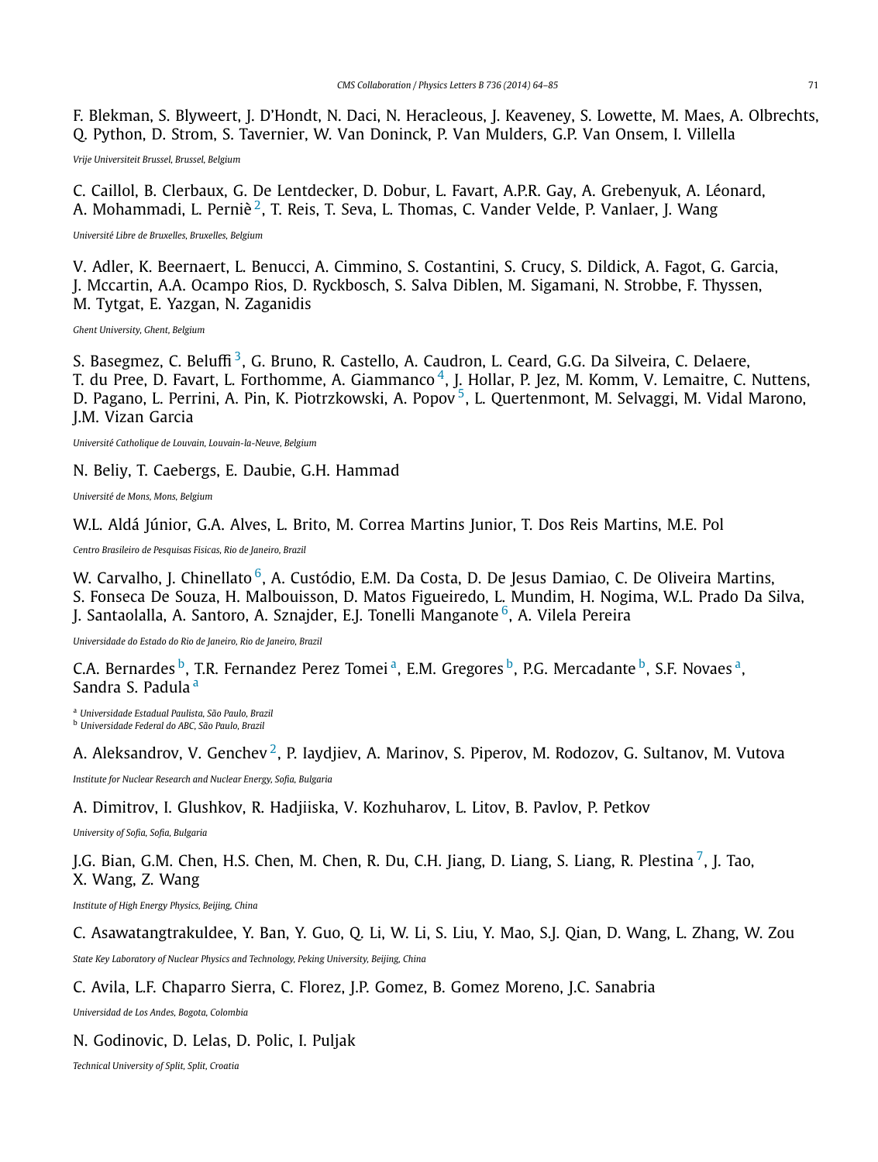F. Blekman, S. Blyweert, J. D'Hondt, N. Daci, N. Heracleous, J. Keaveney, S. Lowette, M. Maes, A. Olbrechts, Q. Python, D. Strom, S. Tavernier, W. Van Doninck, P. Van Mulders, G.P. Van Onsem, I. Villella

*Vrije Universiteit Brussel, Brussel, Belgium*

C. Caillol, B. Clerbaux, G. De Lentdecker, D. Dobur, L. Favart, A.P.R. Gay, A. Grebenyuk, A. Léonard, A. Mohammadi, L. Perniè<sup>2</sup>, T. Reis, T. Seva, L. Thomas, C. Vander Velde, P. Vanlaer, J. Wang

*Université Libre de Bruxelles, Bruxelles, Belgium*

V. Adler, K. Beernaert, L. Benucci, A. Cimmino, S. Costantini, S. Crucy, S. Dildick, A. Fagot, G. Garcia, J. Mccartin, A.A. Ocampo Rios, D. Ryckbosch, S. Salva Diblen, M. Sigamani, N. Strobbe, F. Thyssen, M. Tytgat, E. Yazgan, N. Zaganidis

*Ghent University, Ghent, Belgium*

S. Basegmez, C. Beluffi<sup>3</sup>, G. Bruno, R. Castello, A. Caudron, L. Ceard, G.G. Da Silveira, C. Delaere, T. du Pree, D. Favart, L. Forthomme, A. Giammanco<sup>4</sup>, J. Hollar, P. Jez, M. Komm, V. Lemaitre, C. Nuttens, D. Pagano, L. Perrini, A. Pin, K. Piotrzkowski, A. Popov<sup>5</sup>, L. Quertenmont, M. Selvaggi, M. Vidal Marono, J.M. Vizan Garcia

*Université Catholique de Louvain, Louvain-la-Neuve, Belgium*

N. Beliy, T. Caebergs, E. Daubie, G.H. Hammad

*Université de Mons, Mons, Belgium*

W.L. Aldá Júnior, G.A. Alves, L. Brito, M. Correa Martins Junior, T. Dos Reis Martins, M.E. Pol

*Centro Brasileiro de Pesquisas Fisicas, Rio de Janeiro, Brazil*

W. Carvalho, I. Chinellato<sup>6</sup>, A. Custódio, E.M. Da Costa, D. De Jesus Damiao, C. De Oliveira Martins, S. Fonseca De Souza, H. Malbouisson, D. Matos Figueiredo, L. Mundim, H. Nogima, W.L. Prado Da Silva, J. Santaolalla, A. Santoro, A. Sznajder, E.J. Tonelli Manganote<sup>6</sup>, A. Vilela Pereira

*Universidade do Estado do Rio de Janeiro, Rio de Janeiro, Brazil*

C.A. Bernardes <sup>b</sup>, T.R. Fernandez Perez Tomei<sup>a</sup>, E.M. Gregores <sup>b</sup>, P.G. Mercadante <sup>b</sup>, S.F. Novaes<sup>a</sup>, Sandra S. Padula<sup>a</sup>

<sup>a</sup> *Universidade Estadual Paulista, São Paulo, Brazil* <sup>b</sup> *Universidade Federal do ABC, São Paulo, Brazil*

A. Aleksandrov, V. Genchev<sup>[2](#page-20-0)</sup>, P. Iaydjiev, A. Marinov, S. Piperov, M. Rodozov, G. Sultanov, M. Vutova

*Institute for Nuclear Research and Nuclear Energy, Sofia, Bulgaria*

A. Dimitrov, I. Glushkov, R. Hadjiiska, V. Kozhuharov, L. Litov, B. Pavlov, P. Petkov

*University of Sofia, Sofia, Bulgaria*

J.G. Bian, G.M. Chen, H.S. Chen, M. Chen, R. Du, C.H. Jiang, D. Liang, S. Liang, R. Plestina [7,](#page-20-0) J. Tao, X. Wang, Z. Wang

*Institute of High Energy Physics, Beijing, China*

C. Asawatangtrakuldee, Y. Ban, Y. Guo, Q. Li, W. Li, S. Liu, Y. Mao, S.J. Qian, D. Wang, L. Zhang, W. Zou

*State Key Laboratory of Nuclear Physics and Technology, Peking University, Beijing, China*

C. Avila, L.F. Chaparro Sierra, C. Florez, J.P. Gomez, B. Gomez Moreno, J.C. Sanabria

*Universidad de Los Andes, Bogota, Colombia*

N. Godinovic, D. Lelas, D. Polic, I. Puljak

*Technical University of Split, Split, Croatia*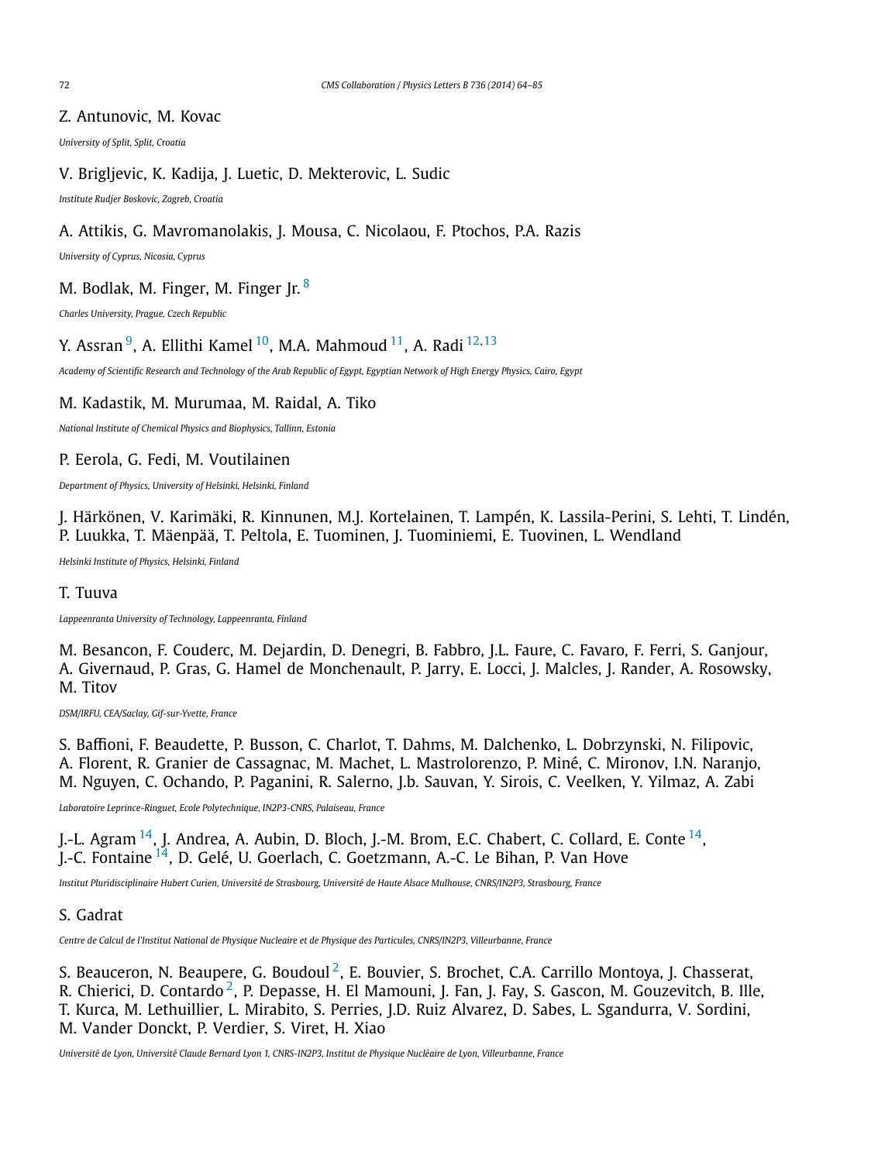#### Z. Antunovic, M. Kovac

*University of Split, Split, Croatia*

### V. Brigljevic, K. Kadija, J. Luetic, D. Mekterovic, L. Sudic

*Institute Rudjer Boskovic, Zagreb, Croatia*

#### A. Attikis, G. Mavromanolakis, J. Mousa, C. Nicolaou, F. Ptochos, P.A. Razis

*University of Cyprus, Nicosia, Cyprus*

## M. Bodlak, M. Finger, M. Finger Jr. [8](#page-20-0)

*Charles University, Prague, Czech Republic*

## Y. Assran [9,](#page-20-0) A. Ellithi Kamel [10,](#page-20-0) M.A. Mahmoud [11,](#page-20-0) A. Radi [12](#page-20-0)*,*[13](#page-20-0)

Academy of Scientific Research and Technology of the Arab Republic of Egypt. Egyptian Network of High Energy Physics. Cairo. Egypt

#### M. Kadastik, M. Murumaa, M. Raidal, A. Tiko

*National Institute of Chemical Physics and Biophysics, Tallinn, Estonia*

#### P. Eerola, G. Fedi, M. Voutilainen

*Department of Physics, University of Helsinki, Helsinki, Finland*

J. Härkönen, V. Karimäki, R. Kinnunen, M.J. Kortelainen, T. Lampén, K. Lassila-Perini, S. Lehti, T. Lindén, P. Luukka, T. Mäenpää, T. Peltola, E. Tuominen, J. Tuominiemi, E. Tuovinen, L. Wendland

*Helsinki Institute of Physics, Helsinki, Finland*

#### T. Tuuva

*Lappeenranta University of Technology, Lappeenranta, Finland*

M. Besancon, F. Couderc, M. Dejardin, D. Denegri, B. Fabbro, J.L. Faure, C. Favaro, F. Ferri, S. Ganjour, A. Givernaud, P. Gras, G. Hamel de Monchenault, P. Jarry, E. Locci, J. Malcles, J. Rander, A. Rosowsky, M. Titov

*DSM/IRFU, CEA/Saclay, Gif-sur-Yvette, France*

S. Baffioni, F. Beaudette, P. Busson, C. Charlot, T. Dahms, M. Dalchenko, L. Dobrzynski, N. Filipovic, A. Florent, R. Granier de Cassagnac, M. Machet, L. Mastrolorenzo, P. Miné, C. Mironov, I.N. Naranjo, M. Nguyen, C. Ochando, P. Paganini, R. Salerno, J.b. Sauvan, Y. Sirois, C. Veelken, Y. Yilmaz, A. Zabi

*Laboratoire Leprince-Ringuet, Ecole Polytechnique, IN2P3-CNRS, Palaiseau, France*

J.-L. Agram<sup>14</sup>, J. Andrea, A. Aubin, D. Bloch, J.-M. Brom, E.C. Chabert, C. Collard, E. Conte<sup>14</sup>, J.-C. Fontaine <sup>14</sup>, D. Gelé, U. Goerlach, C. Goetzmann, A.-C. Le Bihan, P. Van Hove

Institut Pluridisciplinaire Hubert Curien, Université de Strasbourg, Université de Haute Alsace Mulhouse, CNRS/IN2P3, Strasbourg, France

#### S. Gadrat

Centre de Calcul de l'Institut National de Physique Nucleaire et de Physique des Particules, CNRS/IN2P3, Villeurbanne, France

S. Beauceron, N. Beaupere, G. Boudoul<sup>2</sup>, E. Bouvier, S. Brochet, C.A. Carrillo Montoya, J. Chasserat, R. Chierici, D. Contardo<sup>2</sup>, P. Depasse, H. El Mamouni, J. Fan, J. Fay, S. Gascon, M. Gouzevitch, B. Ille, T. Kurca, M. Lethuillier, L. Mirabito, S. Perries, J.D. Ruiz Alvarez, D. Sabes, L. Sgandurra, V. Sordini, M. Vander Donckt, P. Verdier, S. Viret, H. Xiao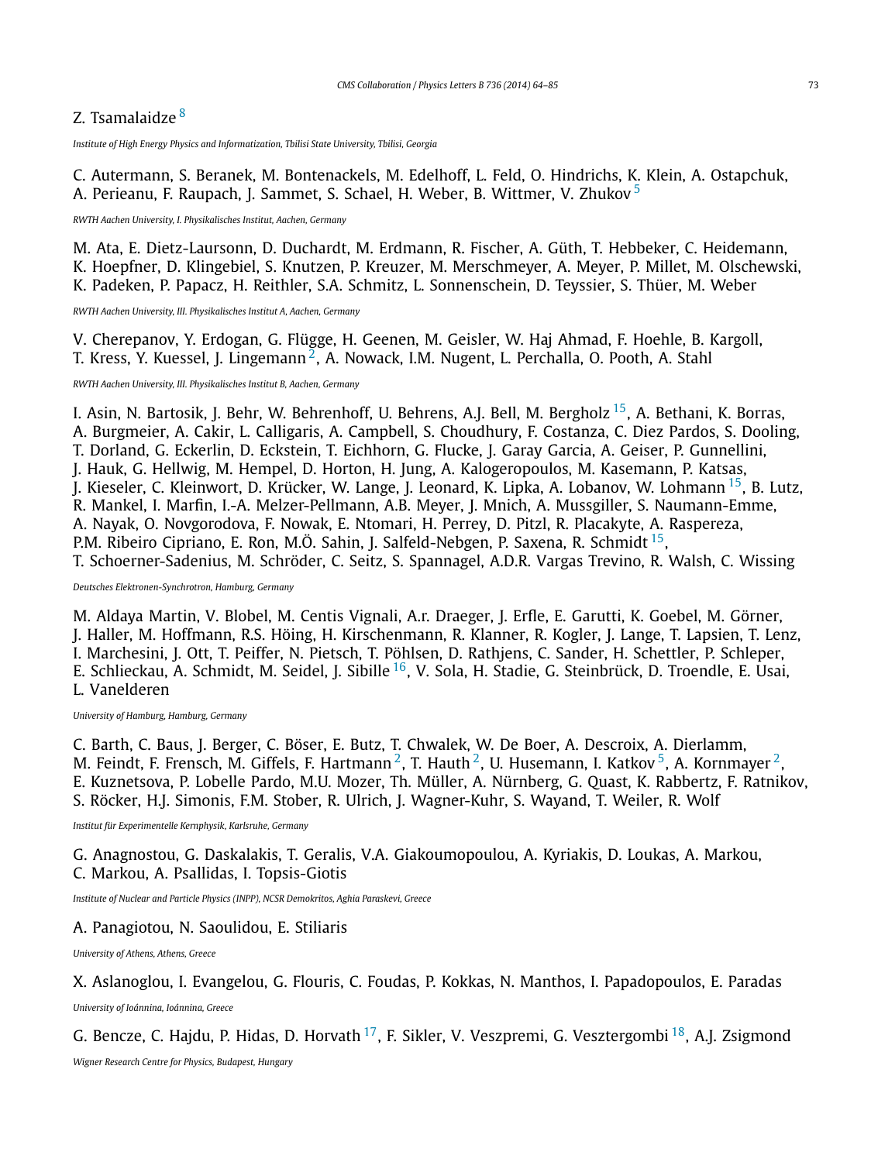# Z. Tsamalaidze<sup>[8](#page-20-0)</sup>

*Institute of High Energy Physics and Informatization, Tbilisi State University, Tbilisi, Georgia*

C. Autermann, S. Beranek, M. Bontenackels, M. Edelhoff, L. Feld, O. Hindrichs, K. Klein, A. Ostapchuk, A. Perieanu, F. Raupach, J. Sammet, S. Schael, H. Weber, B. Wittmer, V. Zhukov [5](#page-20-0)

*RWTH Aachen University, I. Physikalisches Institut, Aachen, Germany*

M. Ata, E. Dietz-Laursonn, D. Duchardt, M. Erdmann, R. Fischer, A. Güth, T. Hebbeker, C. Heidemann, K. Hoepfner, D. Klingebiel, S. Knutzen, P. Kreuzer, M. Merschmeyer, A. Meyer, P. Millet, M. Olschewski, K. Padeken, P. Papacz, H. Reithler, S.A. Schmitz, L. Sonnenschein, D. Teyssier, S. Thüer, M. Weber

*RWTH Aachen University, III. Physikalisches Institut A, Aachen, Germany*

V. Cherepanov, Y. Erdogan, G. Flügge, H. Geenen, M. Geisler, W. Haj Ahmad, F. Hoehle, B. Kargoll, T. Kress, Y. Kuessel, J. Lingemann<sup>2</sup>, A. Nowack, I.M. Nugent, L. Perchalla, O. Pooth, A. Stahl

*RWTH Aachen University, III. Physikalisches Institut B, Aachen, Germany*

I. Asin, N. Bartosik, J. Behr, W. Behrenhoff, U. Behrens, A.J. Bell, M. Bergholz <sup>15</sup>, A. Bethani, K. Borras, A. Burgmeier, A. Cakir, L. Calligaris, A. Campbell, S. Choudhury, F. Costanza, C. Diez Pardos, S. Dooling, T. Dorland, G. Eckerlin, D. Eckstein, T. Eichhorn, G. Flucke, J. Garay Garcia, A. Geiser, P. Gunnellini, J. Hauk, G. Hellwig, M. Hempel, D. Horton, H. Jung, A. Kalogeropoulos, M. Kasemann, P. Katsas, J. Kieseler, C. Kleinwort, D. Krücker, W. Lange, J. Leonard, K. Lipka, A. Lobanov, W. Lohmann [15,](#page-20-0) B. Lutz, R. Mankel, I. Marfin, I.-A. Melzer-Pellmann, A.B. Meyer, J. Mnich, A. Mussgiller, S. Naumann-Emme, A. Nayak, O. Novgorodova, F. Nowak, E. Ntomari, H. Perrey, D. Pitzl, R. Placakyte, A. Raspereza, P.M. Ribeiro Cipriano, E. Ron, M.Ö. Sahin, J. Salfeld-Nebgen, P. Saxena, R. Schmidt <sup>15</sup>, T. Schoerner-Sadenius, M. Schröder, C. Seitz, S. Spannagel, A.D.R. Vargas Trevino, R. Walsh, C. Wissing

*Deutsches Elektronen-Synchrotron, Hamburg, Germany*

M. Aldaya Martin, V. Blobel, M. Centis Vignali, A.r. Draeger, J. Erfle, E. Garutti, K. Goebel, M. Görner, J. Haller, M. Hoffmann, R.S. Höing, H. Kirschenmann, R. Klanner, R. Kogler, J. Lange, T. Lapsien, T. Lenz, I. Marchesini, J. Ott, T. Peiffer, N. Pietsch, T. Pöhlsen, D. Rathjens, C. Sander, H. Schettler, P. Schleper, E. Schlieckau, A. Schmidt, M. Seidel, J. Sibille <sup>16</sup>, V. Sola, H. Stadie, G. Steinbrück, D. Troendle, E. Usai, L. Vanelderen

*University of Hamburg, Hamburg, Germany*

C. Barth, C. Baus, J. Berger, C. Böser, E. Butz, T. Chwalek, W. De Boer, A. Descroix, A. Dierlamm, M. Feindt, F. Frensch, M. Giffels, F. Hartmann<sup>2</sup>, T. Hauth<sup>2</sup>, U. Husemann, I. Katkov<sup>5</sup>, A. Kornmayer<sup>2</sup>, E. Kuznetsova, P. Lobelle Pardo, M.U. Mozer, Th. Müller, A. Nürnberg, G. Quast, K. Rabbertz, F. Ratnikov, S. Röcker, H.J. Simonis, F.M. Stober, R. Ulrich, J. Wagner-Kuhr, S. Wayand, T. Weiler, R. Wolf

*Institut für Experimentelle Kernphysik, Karlsruhe, Germany*

G. Anagnostou, G. Daskalakis, T. Geralis, V.A. Giakoumopoulou, A. Kyriakis, D. Loukas, A. Markou, C. Markou, A. Psallidas, I. Topsis-Giotis

*Institute of Nuclear and Particle Physics (INPP), NCSR Demokritos, Aghia Paraskevi, Greece*

#### A. Panagiotou, N. Saoulidou, E. Stiliaris

*University of Athens, Athens, Greece*

X. Aslanoglou, I. Evangelou, G. Flouris, C. Foudas, P. Kokkas, N. Manthos, I. Papadopoulos, E. Paradas

*University of Ioánnina, Ioánnina, Greece*

G. Bencze, C. Hajdu, P. Hidas, D. Horvath <sup>17</sup>, F. Sikler, V. Veszpremi, G. Vesztergombi <sup>18</sup>, A.J. Zsigmond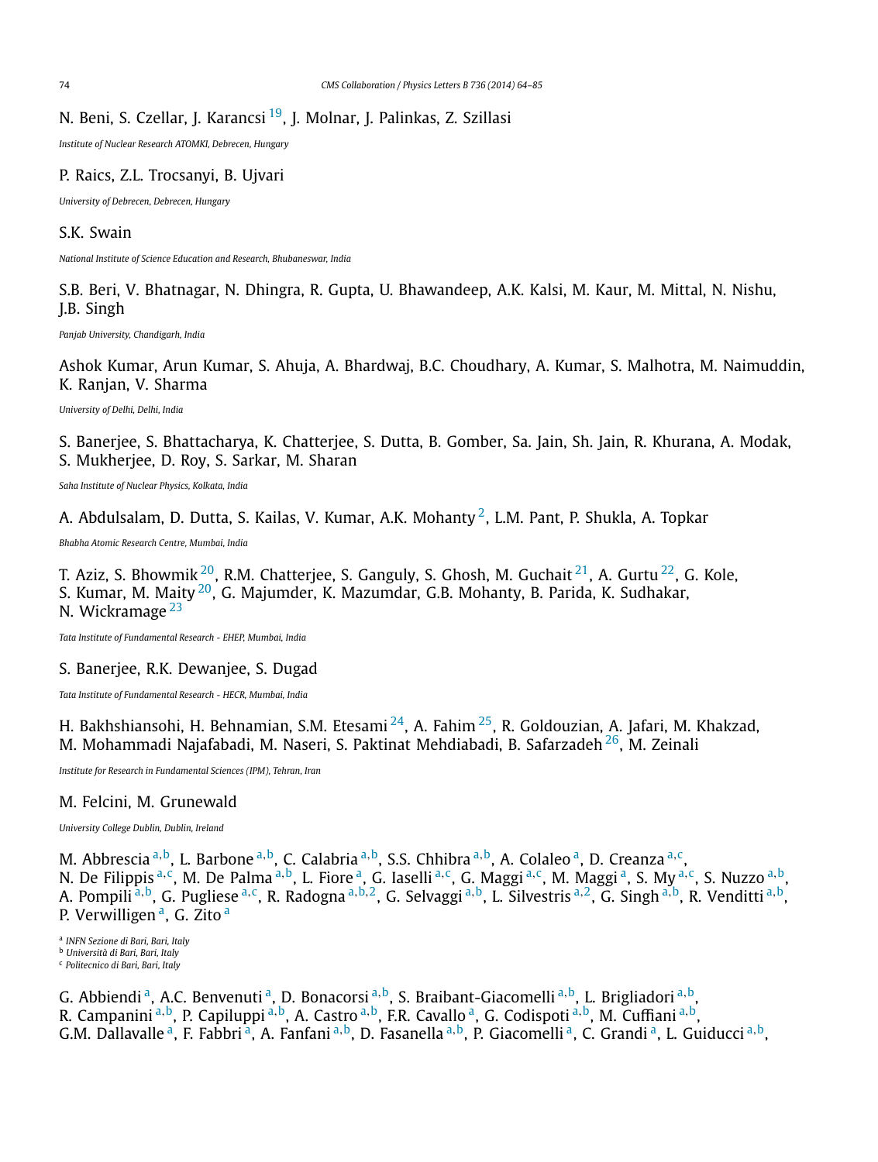# N. Beni, S. Czellar, J. Karancsi [19,](#page-20-0) J. Molnar, J. Palinkas, Z. Szillasi

*Institute of Nuclear Research ATOMKI, Debrecen, Hungary*

#### P. Raics, Z.L. Trocsanyi, B. Ujvari

*University of Debrecen, Debrecen, Hungary*

#### S.K. Swain

*National Institute of Science Education and Research, Bhubaneswar, India*

S.B. Beri, V. Bhatnagar, N. Dhingra, R. Gupta, U. Bhawandeep, A.K. Kalsi, M. Kaur, M. Mittal, N. Nishu, J.B. Singh

*Panjab University, Chandigarh, India*

Ashok Kumar, Arun Kumar, S. Ahuja, A. Bhardwaj, B.C. Choudhary, A. Kumar, S. Malhotra, M. Naimuddin, K. Ranjan, V. Sharma

*University of Delhi, Delhi, India*

S. Banerjee, S. Bhattacharya, K. Chatterjee, S. Dutta, B. Gomber, Sa. Jain, Sh. Jain, R. Khurana, A. Modak, S. Mukherjee, D. Roy, S. Sarkar, M. Sharan

*Saha Institute of Nuclear Physics, Kolkata, India*

A. Abdulsalam, D. Dutta, S. Kailas, V. Kumar, A.K. Mohanty [2,](#page-20-0) L.M. Pant, P. Shukla, A. Topkar

*Bhabha Atomic Research Centre, Mumbai, India*

T. Aziz, S. Bhowmik  $^{20}$ , R.M. Chatterjee, S. Ganguly, S. Ghosh, M. Guchait  $^{21}$ , A. Gurtu  $^{22}$ , G. Kole, S. Kumar, M. Maity [20,](#page-20-0) G. Majumder, K. Mazumdar, G.B. Mohanty, B. Parida, K. Sudhakar, N. Wickramage<sup>[23](#page-20-0)</sup>

*Tata Institute of Fundamental Research - EHEP, Mumbai, India*

#### S. Banerjee, R.K. Dewanjee, S. Dugad

*Tata Institute of Fundamental Research - HECR, Mumbai, India*

H. Bakhshiansohi, H. Behnamian, S.M. Etesami [24,](#page-20-0) A. Fahim [25,](#page-20-0) R. Goldouzian, A. Jafari, M. Khakzad, M. Mohammadi Najafabadi, M. Naseri, S. Paktinat Mehdiabadi, B. Safarzadeh [26,](#page-20-0) M. Zeinali

*Institute for Research in Fundamental Sciences (IPM), Tehran, Iran*

#### M. Felcini, M. Grunewald

*University College Dublin, Dublin, Ireland*

M. Abbrescia <sup>a</sup>*,*b, L. Barbone <sup>a</sup>*,*b, C. Calabria <sup>a</sup>*,*b, S.S. Chhibra <sup>a</sup>*,*b, A. Colaleo a, D. Creanza <sup>a</sup>*,*c, N. De Filippis <sup>a</sup>*,*c, M. De Palma <sup>a</sup>*,*b, L. Fiore a, G. Iaselli <sup>a</sup>*,*c, G. Maggi <sup>a</sup>*,*c, M. Maggi a, S. My <sup>a</sup>*,*c, S. Nuzzo <sup>a</sup>*,*b, A. Pompili <sup>a</sup>*,*b, G. Pugliese <sup>a</sup>*,*c, R. Radogna <sup>a</sup>*,*b*,*[2,](#page-20-0) G. Selvaggi <sup>a</sup>*,*b, L. Silvestris <sup>a</sup>*,*[2,](#page-20-0) G. Singh <sup>a</sup>*,*b, R. Venditti <sup>a</sup>*,*b, P. Verwilligen<sup>a</sup>, G. Zito<sup>a</sup>

<sup>a</sup> *INFN Sezione di Bari, Bari, Italy* <sup>b</sup> *Università di Bari, Bari, Italy*

<sup>c</sup> *Politecnico di Bari, Bari, Italy*

G. Abbiendi <sup>a</sup>, A.C. Benvenuti <sup>a</sup>, D. Bonacorsi <sup>[a,](#page-11-0)b</sup>, S. Br[a](#page-11-0)ibant-Giacomelli <sup>a,b</sup>, L. Brigliadori <sup>a,b</sup>, R. Campanini [a](#page-11-0)*,*[b,](#page-11-0) P. Capiluppi [a](#page-11-0)*,*[b,](#page-11-0) A. Castro [a](#page-11-0)*,*[b,](#page-11-0) F.R. Cavallo [a](#page-11-0), G. Codispoti [a](#page-11-0)*,*[b](#page-11-0), M. Cuffiani [a](#page-11-0)*,*[b,](#page-11-0) G.M. Dallavalle <sup>a</sup>, F. Fabbri <sup>a</sup>, A. Fanfani <sup>[a,](#page-11-0)b</sup>, D. F[a](#page-11-0)sanella <sup>a,b</sup>, P. Giacomelli <sup>a</sup>, C. Grandi <sup>a</sup>, L. Guiducci <sup>a,b</sup>,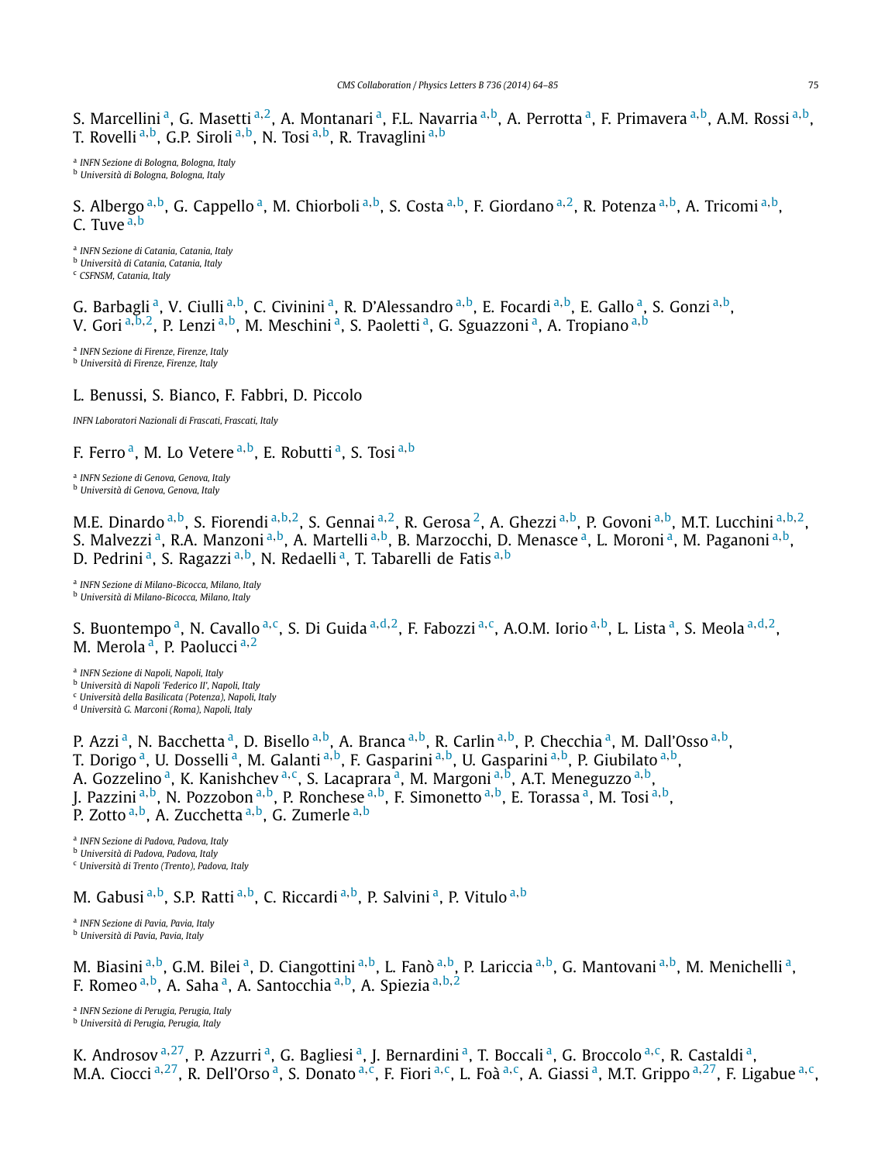<span id="page-11-0"></span>S. Marcellini a, G. Masetti <sup>a</sup>*,*[2](#page-20-0), A. Montanari a, F.L. Navarria <sup>a</sup>*,*b, A. Perrotta a, F. Primavera <sup>a</sup>*,*b, A.M. Rossi <sup>a</sup>*,*b, T. Rovelli <sup>a</sup>*,*b, G.P. Siroli <sup>a</sup>*,*b, N. Tosi <sup>a</sup>*,*b, R. Travaglini <sup>a</sup>*,*<sup>b</sup>

<sup>a</sup> *INFN Sezione di Bologna, Bologna, Italy* <sup>b</sup> *Università di Bologna, Bologna, Italy*

S. Albergo <sup>a</sup>*,*b, G. Cappello a, M. Chiorboli <sup>a</sup>*,*b, S. Costa <sup>a</sup>*,*b, F. Giordano <sup>a</sup>*,*[2,](#page-20-0) R. Potenza <sup>a</sup>*,*b, A. Tricomi <sup>a</sup>*,*b,  $C$ . Tuve  $\overline{a}$ ,  $\overline{b}$ 

<sup>a</sup> *INFN Sezione di Catania, Catania, Italy* <sup>b</sup> *Università di Catania, Catania, Italy*

<sup>c</sup> *CSFNSM, Catania, Italy*

G. Barbagli a, V. Ciulli <sup>a</sup>*,*b, C. Civinini a, R. D'Alessandro <sup>a</sup>*,*b, E. Focardi <sup>a</sup>*,*b, E. Gallo a, S. Gonzi <sup>a</sup>*,*b, V. Gori <sup>a</sup>*,*b*,*[2,](#page-20-0) P. Lenzi <sup>a</sup>*,*b, M. Meschini a, S. Paoletti a, G. Sguazzoni a, A. Tropiano <sup>a</sup>*,*<sup>b</sup>

<sup>a</sup> *INFN Sezione di Firenze, Firenze, Italy* <sup>b</sup> *Università di Firenze, Firenze, Italy*

L. Benussi, S. Bianco, F. Fabbri, D. Piccolo

*INFN Laboratori Nazionali di Frascati, Frascati, Italy*

F. Ferro a, M. Lo Vetere <sup>a</sup>*,*b, E. Robutti a, S. Tosi <sup>a</sup>*,*<sup>b</sup>

<sup>a</sup> *INFN Sezione di Genova, Genova, Italy* <sup>b</sup> *Università di Genova, Genova, Italy*

M.E. Dinardo <sup>a</sup>*,*b, S. Fiorendi <sup>a</sup>*,*b*,*[2,](#page-20-0) S. Gennai <sup>a</sup>*,*[2,](#page-20-0) R. Gerosa [2,](#page-20-0) A. Ghezzi <sup>a</sup>*,*b, P. Govoni <sup>a</sup>*,*b, M.T. Lucchini <sup>a</sup>*,*b*,*[2,](#page-20-0) S. Malvezzi a, R.A. Manzoni <sup>a</sup>*,*b, A. Martelli <sup>a</sup>*,*b, B. Marzocchi, D. Menasce a, L. Moroni a, M. Paganoni <sup>a</sup>*,*b, D. Pedrini a, S. Ragazzi <sup>a</sup>*,*b, N. Redaelli a, T. Tabarelli de Fatis <sup>a</sup>*,*<sup>b</sup>

<sup>a</sup> *INFN Sezione di Milano-Bicocca, Milano, Italy*

<sup>b</sup> *Università di Milano-Bicocca, Milano, Italy*

S. Buontempo a, N. Cavallo <sup>a</sup>*,*c, S. Di Guida <sup>a</sup>*,*d*,*[2,](#page-20-0) F. Fabozzi <sup>a</sup>*,*c, A.O.M. Iorio <sup>a</sup>*,*b, L. Lista a, S. Meola <sup>a</sup>*,*d*,*[2,](#page-20-0) M. Merola<sup>a</sup>, P. Paolucci<sup>a, [2](#page-20-0)</sup>

<sup>a</sup> *INFN Sezione di Napoli, Napoli, Italy*

<sup>b</sup> *Università di Napoli 'Federico II', Napoli, Italy*

<sup>c</sup> *Università della Basilicata (Potenza), Napoli, Italy* <sup>d</sup> *Università G. Marconi (Roma), Napoli, Italy*

P. Azzi<sup>a</sup>, N. Bacchetta<sup>a</sup>, D. Bisello a,b, A. Branca a,b, R. Carlin a,b, P. Checchia a, M. Dall'Osso a,b, T. Dorigo a, U. Dosselli a, M. Galanti <sup>a</sup>*,*b, F. Gasparini <sup>a</sup>*,*b, U. Gasparini <sup>a</sup>*,*b, P. Giubilato <sup>a</sup>*,*b, A. Gozzelino<sup>a</sup>, K. Kanishchev<sup>a, c</sup>, S. Lacaprara<sup>a</sup>, M. Margoni<sup>a, b</sup>, A.T. Meneguzzo<sup>a, b</sup>, J. Pazzini <sup>a</sup>*,*b, N. Pozzobon <sup>a</sup>*,*b, P. Ronchese <sup>a</sup>*,*b, F. Simonetto <sup>a</sup>*,*b, E. Torassa a, M. Tosi <sup>a</sup>*,*b, P. Zotto <sup>a</sup>*,*b, A. Zucchetta <sup>a</sup>*,*b, G. Zumerle <sup>a</sup>*,*<sup>b</sup>

<sup>a</sup> *INFN Sezione di Padova, Padova, Italy*

<sup>b</sup> *Università di Padova, Padova, Italy*

<sup>c</sup> *Università di Trento (Trento), Padova, Italy*

M. Gabusi <sup>a</sup>*,*b, S.P. Ratti <sup>a</sup>*,*b, C. Riccardi <sup>a</sup>*,*b, P. Salvini a, P. Vitulo <sup>a</sup>*,*<sup>b</sup>

<sup>a</sup> *INFN Sezione di Pavia, Pavia, Italy* <sup>b</sup> *Università di Pavia, Pavia, Italy*

M. Biasini <sup>a</sup>*,*b, G.M. Bilei a, D. Ciangottini <sup>a</sup>*,*b, L. Fanò <sup>a</sup>*,*b, P. Lariccia <sup>a</sup>*,*b, G. Mantovani <sup>a</sup>*,*b, M. Menichelli a, F. Romeo <sup>a</sup>*,*b, A. Saha a, A. Santocchia <sup>a</sup>*,*b, A. Spiezia <sup>a</sup>*,*b*,*[2](#page-20-0)

<sup>a</sup> *INFN Sezione di Perugia, Perugia, Italy*

<sup>b</sup> *Università di Perugia, Perugia, Italy*

K. Androsov [a](#page-12-0), [27,](#page-20-0) P. Azzurri <sup>a</sup>, G. Bagliesi <sup>a</sup>, J. Bernardini <sup>a</sup>, T. Boccali <sup>a</sup>, G. Broccolo [a,](#page-12-0)[c,](#page-12-0) R. Castaldi a, M.A. Ciocci [a](#page-12-0)*,*[27](#page-20-0), R. Dell'Orso [a,](#page-12-0) S. Donato [a](#page-12-0)*,*[c,](#page-12-0) F. Fiori [a](#page-12-0)*,*[c,](#page-12-0) L. Foà [a](#page-12-0)*,*[c,](#page-12-0) A. Giassi [a,](#page-12-0) M.T. Grippo [a](#page-12-0)*,*[27,](#page-20-0) F. Ligabue [a](#page-12-0)*,*[c,](#page-12-0)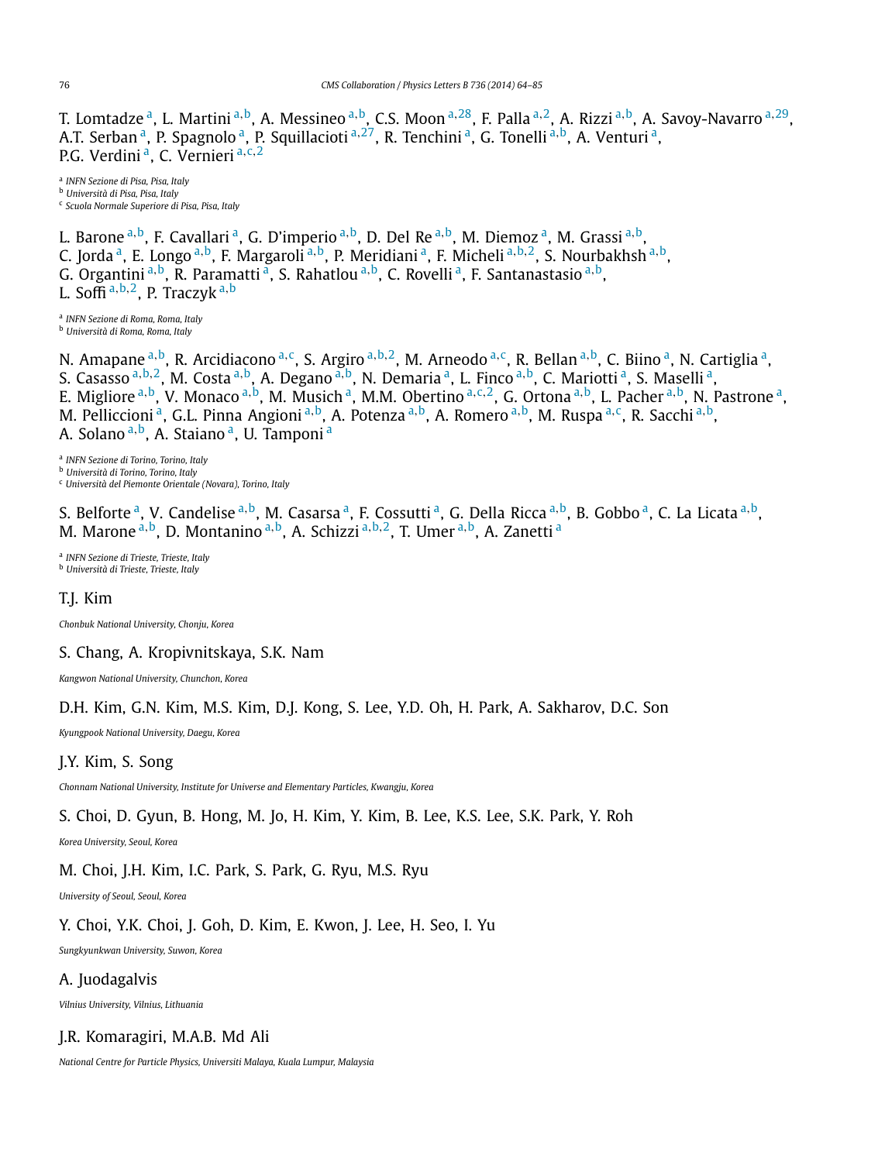<span id="page-12-0"></span>T. Lomtadze a, L. Martini <sup>a</sup>*,*b, A. Messineo <sup>a</sup>*,*b, C.S. Moon <sup>a</sup>*,*[28,](#page-20-0) F. Palla <sup>a</sup>*,*[2,](#page-20-0) A. Rizzi <sup>a</sup>*,*b, A. Savoy-Navarro <sup>a</sup>*,*[29,](#page-20-0) A.T. Serban<sup>a</sup>, P. Spagnolo<sup>a</sup>, P. Squillacioti<sup>a, 27</sup>, R. Tenchini<sup>a</sup>, G. Tonelli<sup>a, b</sup>, A. Venturi<sup>a</sup>, P.G. Verdini a, C. Vernieri <sup>a</sup>*,*c*,*[2](#page-20-0)

<sup>a</sup> *INFN Sezione di Pisa, Pisa, Italy* <sup>b</sup> *Università di Pisa, Pisa, Italy* <sup>c</sup> *Scuola Normale Superiore di Pisa, Pisa, Italy*

L. Barone a,b, F. Cavallari <sup>a</sup>, G. D'imperio <sup>a,b</sup>, D. Del Re <sup>a,b</sup>, M. Diemoz <sup>a</sup>, M. Grassi <sup>a,b</sup>, C. Jorda a, E. Longo <sup>a</sup>*,*b, F. Margaroli <sup>a</sup>*,*b, P. Meridiani a, F. Micheli <sup>a</sup>*,*b*,*[2](#page-20-0), S. Nourbakhsh <sup>a</sup>*,*b, G. Organtini<sup>a,b</sup>, R. Paramatti<sup>a</sup>, S. Rahatlou<sup>a,b</sup>, C. Rovelli<sup>a</sup>, F. Santanastasio<sup>a,b</sup>, L. Soffi <sup>a</sup>*,*b*,*[2,](#page-20-0) P. Traczyk <sup>a</sup>*,*<sup>b</sup>

<sup>a</sup> *INFN Sezione di Roma, Roma, Italy* <sup>b</sup> *Università di Roma, Roma, Italy*

N. Amapane <sup>a</sup>*,*b, R. Arcidiacono <sup>a</sup>*,*c, S. Argiro <sup>a</sup>*,*b*,*[2,](#page-20-0) M. Arneodo <sup>a</sup>*,*c, R. Bellan <sup>a</sup>*,*b, C. Biino a, N. Cartiglia a, S. Casasso <sup>a</sup>*,*b*,*[2,](#page-20-0) M. Costa <sup>a</sup>*,*b, A. Degano <sup>a</sup>*,*b, N. Demaria a, L. Finco <sup>a</sup>*,*b, C. Mariotti a, S. Maselli a, E. Migliore <sup>a</sup>*,*b, V. Monaco <sup>a</sup>*,*b, M. Musich a, M.M. Obertino <sup>a</sup>*,*c*,*[2,](#page-20-0) G. Ortona <sup>a</sup>*,*b, L. Pacher <sup>a</sup>*,*b, N. Pastrone a, M. Pelliccioni a, G.L. Pinna Angioni <sup>a</sup>*,*b, A. Potenza <sup>a</sup>*,*b, A. Romero <sup>a</sup>*,*b, M. Ruspa <sup>a</sup>*,*c, R. Sacchi <sup>a</sup>*,*b, A. Solano a, b, A. Staiano <sup>a</sup>, U. Tamponi<sup>a</sup>

<sup>a</sup> *INFN Sezione di Torino, Torino, Italy*

<sup>b</sup> *Università di Torino, Torino, Italy*

<sup>c</sup> *Università del Piemonte Orientale (Novara), Torino, Italy*

S. Belforte <sup>a</sup>, V. Candelise <sup>a,b</sup>, M. Casarsa <sup>a</sup>, F. Cossutti <sup>a</sup>, G. Della Ricca <sup>a,b</sup>, B. Gobbo <sup>a</sup>, C. La Licata <sup>a,b</sup>, M. Marone <sup>a</sup>*,*b, D. Montanino <sup>a</sup>*,*b, A. Schizzi <sup>a</sup>*,*b*,*[2,](#page-20-0) T. Umer <sup>a</sup>*,*b, A. Zanetti <sup>a</sup>

<sup>a</sup> *INFN Sezione di Trieste, Trieste, Italy*

<sup>b</sup> *Università di Trieste, Trieste, Italy*

## T.J. Kim

*Chonbuk National University, Chonju, Korea*

#### S. Chang, A. Kropivnitskaya, S.K. Nam

*Kangwon National University, Chunchon, Korea*

#### D.H. Kim, G.N. Kim, M.S. Kim, D.J. Kong, S. Lee, Y.D. Oh, H. Park, A. Sakharov, D.C. Son

*Kyungpook National University, Daegu, Korea*

#### J.Y. Kim, S. Song

*Chonnam National University, Institute for Universe and Elementary Particles, Kwangju, Korea*

#### S. Choi, D. Gyun, B. Hong, M. Jo, H. Kim, Y. Kim, B. Lee, K.S. Lee, S.K. Park, Y. Roh

*Korea University, Seoul, Korea*

#### M. Choi, J.H. Kim, I.C. Park, S. Park, G. Ryu, M.S. Ryu

*University of Seoul, Seoul, Korea*

#### Y. Choi, Y.K. Choi, J. Goh, D. Kim, E. Kwon, J. Lee, H. Seo, I. Yu

*Sungkyunkwan University, Suwon, Korea*

#### A. Juodagalvis

*Vilnius University, Vilnius, Lithuania*

#### J.R. Komaragiri, M.A.B. Md Ali

*National Centre for Particle Physics, Universiti Malaya, Kuala Lumpur, Malaysia*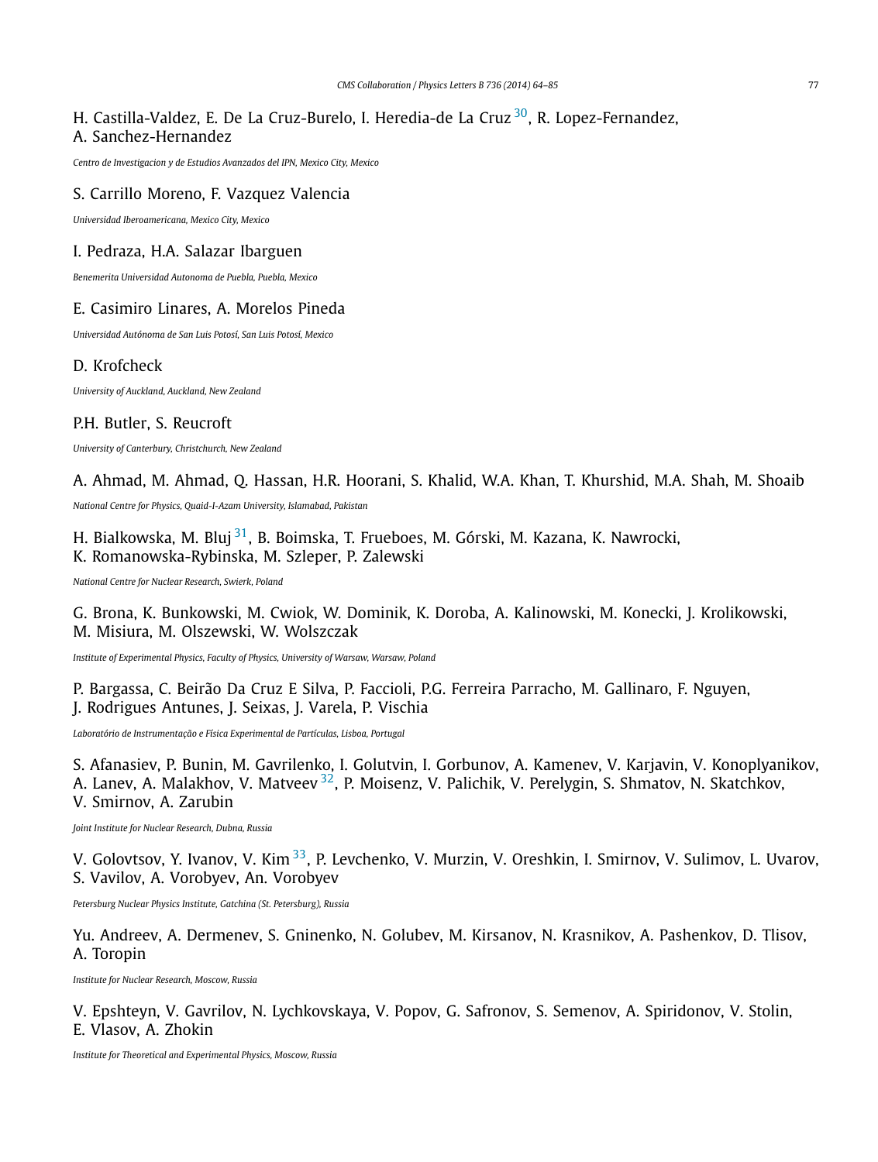# H. Castilla-Valdez, E. De La Cruz-Burelo, I. Heredia-de La Cruz  $30$ , R. Lopez-Fernandez, A. Sanchez-Hernandez

*Centro de Investigacion y de Estudios Avanzados del IPN, Mexico City, Mexico*

#### S. Carrillo Moreno, F. Vazquez Valencia

*Universidad Iberoamericana, Mexico City, Mexico*

#### I. Pedraza, H.A. Salazar Ibarguen

*Benemerita Universidad Autonoma de Puebla, Puebla, Mexico*

#### E. Casimiro Linares, A. Morelos Pineda

*Universidad Autónoma de San Luis Potosí, San Luis Potosí, Mexico*

#### D. Krofcheck

*University of Auckland, Auckland, New Zealand*

#### P.H. Butler, S. Reucroft

*University of Canterbury, Christchurch, New Zealand*

A. Ahmad, M. Ahmad, Q. Hassan, H.R. Hoorani, S. Khalid, W.A. Khan, T. Khurshid, M.A. Shah, M. Shoaib

*National Centre for Physics, Quaid-I-Azam University, Islamabad, Pakistan*

H. Bialkowska, M. Bluj [31,](#page-20-0) B. Boimska, T. Frueboes, M. Górski, M. Kazana, K. Nawrocki, K. Romanowska-Rybinska, M. Szleper, P. Zalewski

*National Centre for Nuclear Research, Swierk, Poland*

G. Brona, K. Bunkowski, M. Cwiok, W. Dominik, K. Doroba, A. Kalinowski, M. Konecki, J. Krolikowski, M. Misiura, M. Olszewski, W. Wolszczak

*Institute of Experimental Physics, Faculty of Physics, University of Warsaw, Warsaw, Poland*

P. Bargassa, C. Beirão Da Cruz E Silva, P. Faccioli, P.G. Ferreira Parracho, M. Gallinaro, F. Nguyen, J. Rodrigues Antunes, J. Seixas, J. Varela, P. Vischia

*Laboratório de Instrumentação e Física Experimental de Partículas, Lisboa, Portugal*

S. Afanasiev, P. Bunin, M. Gavrilenko, I. Golutvin, I. Gorbunov, A. Kamenev, V. Karjavin, V. Konoplyanikov, A. Lanev, A. Malakhov, V. Matveev<sup>32</sup>, P. Moisenz, V. Palichik, V. Perelygin, S. Shmatov, N. Skatchkov, V. Smirnov, A. Zarubin

*Joint Institute for Nuclear Research, Dubna, Russia*

V. Golovtsov, Y. Ivanov, V. Kim<sup>33</sup>, P. Levchenko, V. Murzin, V. Oreshkin, I. Smirnov, V. Sulimov, L. Uvarov, S. Vavilov, A. Vorobyev, An. Vorobyev

*Petersburg Nuclear Physics Institute, Gatchina (St. Petersburg), Russia*

Yu. Andreev, A. Dermenev, S. Gninenko, N. Golubev, M. Kirsanov, N. Krasnikov, A. Pashenkov, D. Tlisov, A. Toropin

*Institute for Nuclear Research, Moscow, Russia*

V. Epshteyn, V. Gavrilov, N. Lychkovskaya, V. Popov, G. Safronov, S. Semenov, A. Spiridonov, V. Stolin, E. Vlasov, A. Zhokin

*Institute for Theoretical and Experimental Physics, Moscow, Russia*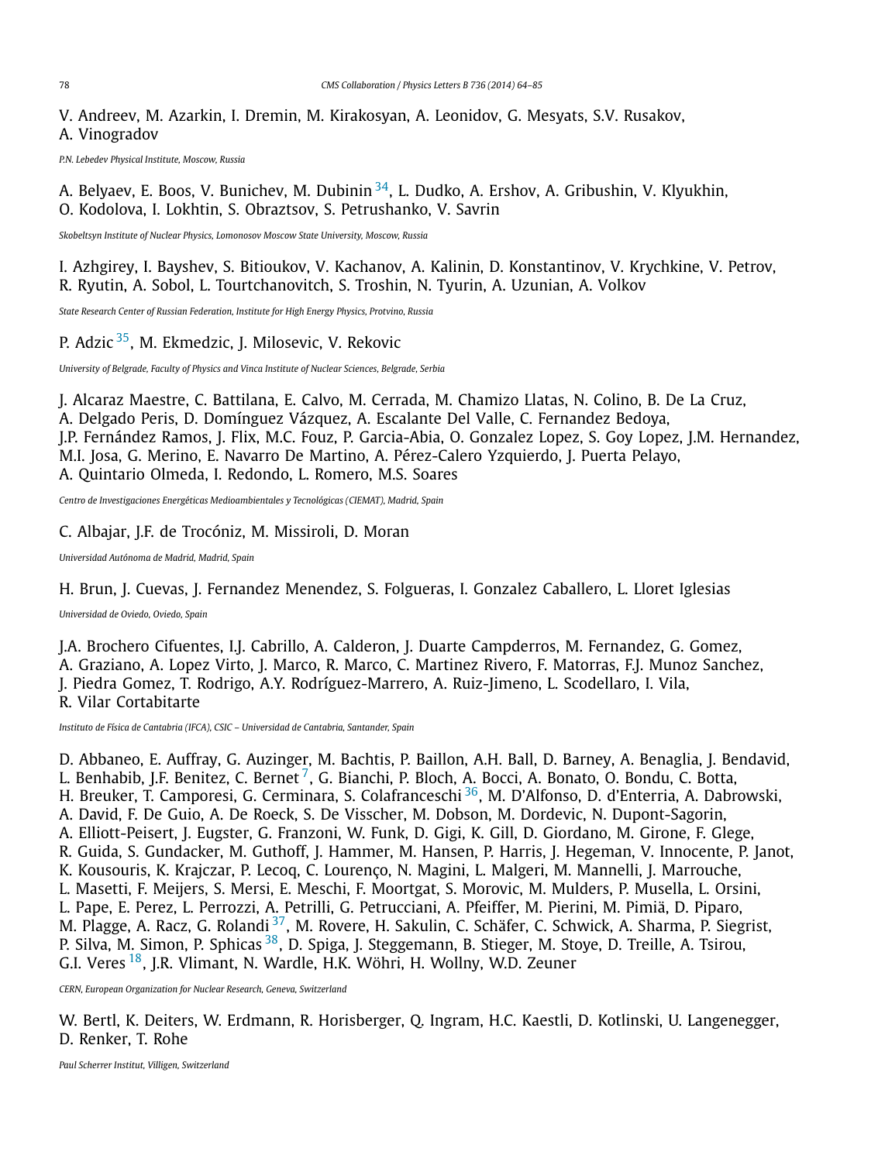## V. Andreev, M. Azarkin, I. Dremin, M. Kirakosyan, A. Leonidov, G. Mesyats, S.V. Rusakov, A. Vinogradov

*P.N. Lebedev Physical Institute, Moscow, Russia*

A. Belyaev, E. Boos, V. Bunichev, M. Dubinin <sup>34</sup>, L. Dudko, A. Ershov, A. Gribushin, V. Klyukhin, O. Kodolova, I. Lokhtin, S. Obraztsov, S. Petrushanko, V. Savrin

*Skobeltsyn Institute of Nuclear Physics, Lomonosov Moscow State University, Moscow, Russia*

I. Azhgirey, I. Bayshev, S. Bitioukov, V. Kachanov, A. Kalinin, D. Konstantinov, V. Krychkine, V. Petrov, R. Ryutin, A. Sobol, L. Tourtchanovitch, S. Troshin, N. Tyurin, A. Uzunian, A. Volkov

*State Research Center of Russian Federation, Institute for High Energy Physics, Protvino, Russia*

# P. Adzic<sup>35</sup>, M. Ekmedzic, J. Milosevic, V. Rekovic

*University of Belgrade, Faculty of Physics and Vinca Institute of Nuclear Sciences, Belgrade, Serbia*

J. Alcaraz Maestre, C. Battilana, E. Calvo, M. Cerrada, M. Chamizo Llatas, N. Colino, B. De La Cruz, A. Delgado Peris, D. Domínguez Vázquez, A. Escalante Del Valle, C. Fernandez Bedoya, J.P. Fernández Ramos, J. Flix, M.C. Fouz, P. Garcia-Abia, O. Gonzalez Lopez, S. Goy Lopez, J.M. Hernandez, M.I. Josa, G. Merino, E. Navarro De Martino, A. Pérez-Calero Yzquierdo, J. Puerta Pelayo, A. Quintario Olmeda, I. Redondo, L. Romero, M.S. Soares

*Centro de Investigaciones Energéticas Medioambientales y Tecnológicas (CIEMAT), Madrid, Spain*

C. Albajar, J.F. de Trocóniz, M. Missiroli, D. Moran

*Universidad Autónoma de Madrid, Madrid, Spain*

H. Brun, J. Cuevas, J. Fernandez Menendez, S. Folgueras, I. Gonzalez Caballero, L. Lloret Iglesias

*Universidad de Oviedo, Oviedo, Spain*

J.A. Brochero Cifuentes, I.J. Cabrillo, A. Calderon, J. Duarte Campderros, M. Fernandez, G. Gomez, A. Graziano, A. Lopez Virto, J. Marco, R. Marco, C. Martinez Rivero, F. Matorras, F.J. Munoz Sanchez, J. Piedra Gomez, T. Rodrigo, A.Y. Rodríguez-Marrero, A. Ruiz-Jimeno, L. Scodellaro, I. Vila, R. Vilar Cortabitarte

*Instituto de Física de Cantabria (IFCA), CSIC – Universidad de Cantabria, Santander, Spain*

D. Abbaneo, E. Auffray, G. Auzinger, M. Bachtis, P. Baillon, A.H. Ball, D. Barney, A. Benaglia, J. Bendavid, L. Benhabib, J.F. Benitez, C. Bernet<sup>7</sup>, G. Bianchi, P. Bloch, A. Bocci, A. Bonato, O. Bondu, C. Botta, H. Breuker, T. Camporesi, G. Cerminara, S. Colafranceschi [36,](#page-20-0) M. D'Alfonso, D. d'Enterria, A. Dabrowski, A. David, F. De Guio, A. De Roeck, S. De Visscher, M. Dobson, M. Dordevic, N. Dupont-Sagorin, A. Elliott-Peisert, J. Eugster, G. Franzoni, W. Funk, D. Gigi, K. Gill, D. Giordano, M. Girone, F. Glege, R. Guida, S. Gundacker, M. Guthoff, J. Hammer, M. Hansen, P. Harris, J. Hegeman, V. Innocente, P. Janot, K. Kousouris, K. Krajczar, P. Lecoq, C. Lourenço, N. Magini, L. Malgeri, M. Mannelli, J. Marrouche, L. Masetti, F. Meijers, S. Mersi, E. Meschi, F. Moortgat, S. Morovic, M. Mulders, P. Musella, L. Orsini, L. Pape, E. Perez, L. Perrozzi, A. Petrilli, G. Petrucciani, A. Pfeiffer, M. Pierini, M. Pimiä, D. Piparo, M. Plagge, A. Racz, G. Rolandi [37,](#page-20-0) M. Rovere, H. Sakulin, C. Schäfer, C. Schwick, A. Sharma, P. Siegrist, P. Silva, M. Simon, P. Sphicas [38,](#page-20-0) D. Spiga, J. Steggemann, B. Stieger, M. Stoye, D. Treille, A. Tsirou, G.I. Veres [18](#page-20-0), J.R. Vlimant, N. Wardle, H.K. Wöhri, H. Wollny, W.D. Zeuner

W. Bertl, K. Deiters, W. Erdmann, R. Horisberger, Q. Ingram, H.C. Kaestli, D. Kotlinski, U. Langenegger, D. Renker, T. Rohe

*CERN, European Organization for Nuclear Research, Geneva, Switzerland*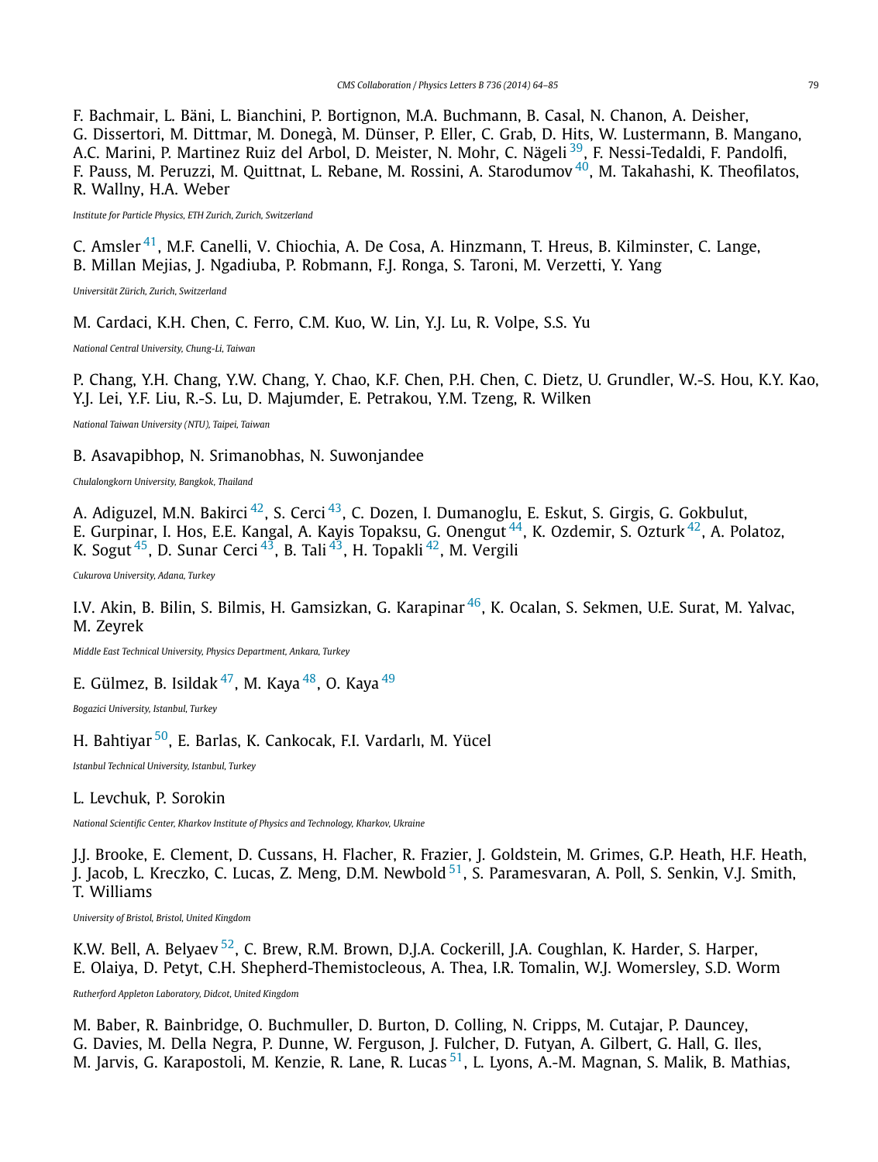F. Bachmair, L. Bäni, L. Bianchini, P. Bortignon, M.A. Buchmann, B. Casal, N. Chanon, A. Deisher, G. Dissertori, M. Dittmar, M. Donegà, M. Dünser, P. Eller, C. Grab, D. Hits, W. Lustermann, B. Mangano, A.C. Marini, P. Martinez Ruiz del Arbol, D. Meister, N. Mohr, C. Nägeli <sup>39</sup>, F. Nessi-Tedaldi, F. Pandolfi, F. Pauss, M. Peruzzi, M. Quittnat, L. Rebane, M. Rossini, A. Starodumov <sup>40</sup>, M. Takahashi, K. Theofilatos, R. Wallny, H.A. Weber

*Institute for Particle Physics, ETH Zurich, Zurich, Switzerland*

C. Amsler [41,](#page-20-0) M.F. Canelli, V. Chiochia, A. De Cosa, A. Hinzmann, T. Hreus, B. Kilminster, C. Lange, B. Millan Mejias, J. Ngadiuba, P. Robmann, F.J. Ronga, S. Taroni, M. Verzetti, Y. Yang

*Universität Zürich, Zurich, Switzerland*

M. Cardaci, K.H. Chen, C. Ferro, C.M. Kuo, W. Lin, Y.J. Lu, R. Volpe, S.S. Yu

*National Central University, Chung-Li, Taiwan*

P. Chang, Y.H. Chang, Y.W. Chang, Y. Chao, K.F. Chen, P.H. Chen, C. Dietz, U. Grundler, W.-S. Hou, K.Y. Kao, Y.J. Lei, Y.F. Liu, R.-S. Lu, D. Majumder, E. Petrakou, Y.M. Tzeng, R. Wilken

*National Taiwan University (NTU), Taipei, Taiwan*

#### B. Asavapibhop, N. Srimanobhas, N. Suwonjandee

*Chulalongkorn University, Bangkok, Thailand*

A. Adiguzel, M.N. Bakirci [42,](#page-20-0) S. Cerci [43,](#page-20-0) C. Dozen, I. Dumanoglu, E. Eskut, S. Girgis, G. Gokbulut, E. Gurpinar, I. Hos, E.E. Kangal, A. Kayis Topaksu, G. Onengut [44,](#page-20-0) K. Ozdemir, S. Ozturk [42,](#page-20-0) A. Polatoz, K. Sogut  $45$ , D. Sunar Cerci  $43$ , B. Tali  $43$ , H. Topakli  $42$ , M. Vergili

*Cukurova University, Adana, Turkey*

I.V. Akin, B. Bilin, S. Bilmis, H. Gamsizkan, G. Karapinar <sup>46</sup>, K. Ocalan, S. Sekmen, U.E. Surat, M. Yalvac, M. Zeyrek

*Middle East Technical University, Physics Department, Ankara, Turkey*

E. Gülmez, B. Isildak<sup> 47</sup>, M. Kaya <sup>48</sup>, O. Kaya <sup>[49](#page-20-0)</sup>

*Bogazici University, Istanbul, Turkey*

# H. Bahtiyar [50,](#page-20-0) E. Barlas, K. Cankocak, F.I. Vardarlı, M. Yücel

*Istanbul Technical University, Istanbul, Turkey*

L. Levchuk, P. Sorokin

*National Scientific Center, Kharkov Institute of Physics and Technology, Kharkov, Ukraine*

J.J. Brooke, E. Clement, D. Cussans, H. Flacher, R. Frazier, J. Goldstein, M. Grimes, G.P. Heath, H.F. Heath, J. Jacob, L. Kreczko, C. Lucas, Z. Meng, D.M. Newbold [51,](#page-20-0) S. Paramesvaran, A. Poll, S. Senkin, V.J. Smith, T. Williams

*University of Bristol, Bristol, United Kingdom*

K.W. Bell, A. Belyaev<sup>52</sup>, C. Brew, R.M. Brown, D.J.A. Cockerill, J.A. Coughlan, K. Harder, S. Harper, E. Olaiya, D. Petyt, C.H. Shepherd-Themistocleous, A. Thea, I.R. Tomalin, W.J. Womersley, S.D. Worm

*Rutherford Appleton Laboratory, Didcot, United Kingdom*

M. Baber, R. Bainbridge, O. Buchmuller, D. Burton, D. Colling, N. Cripps, M. Cutajar, P. Dauncey, G. Davies, M. Della Negra, P. Dunne, W. Ferguson, J. Fulcher, D. Futyan, A. Gilbert, G. Hall, G. Iles, M. Jarvis, G. Karapostoli, M. Kenzie, R. Lane, R. Lucas <sup>[51](#page-20-0)</sup>, L. Lyons, A.-M. Magnan, S. Malik, B. Mathias,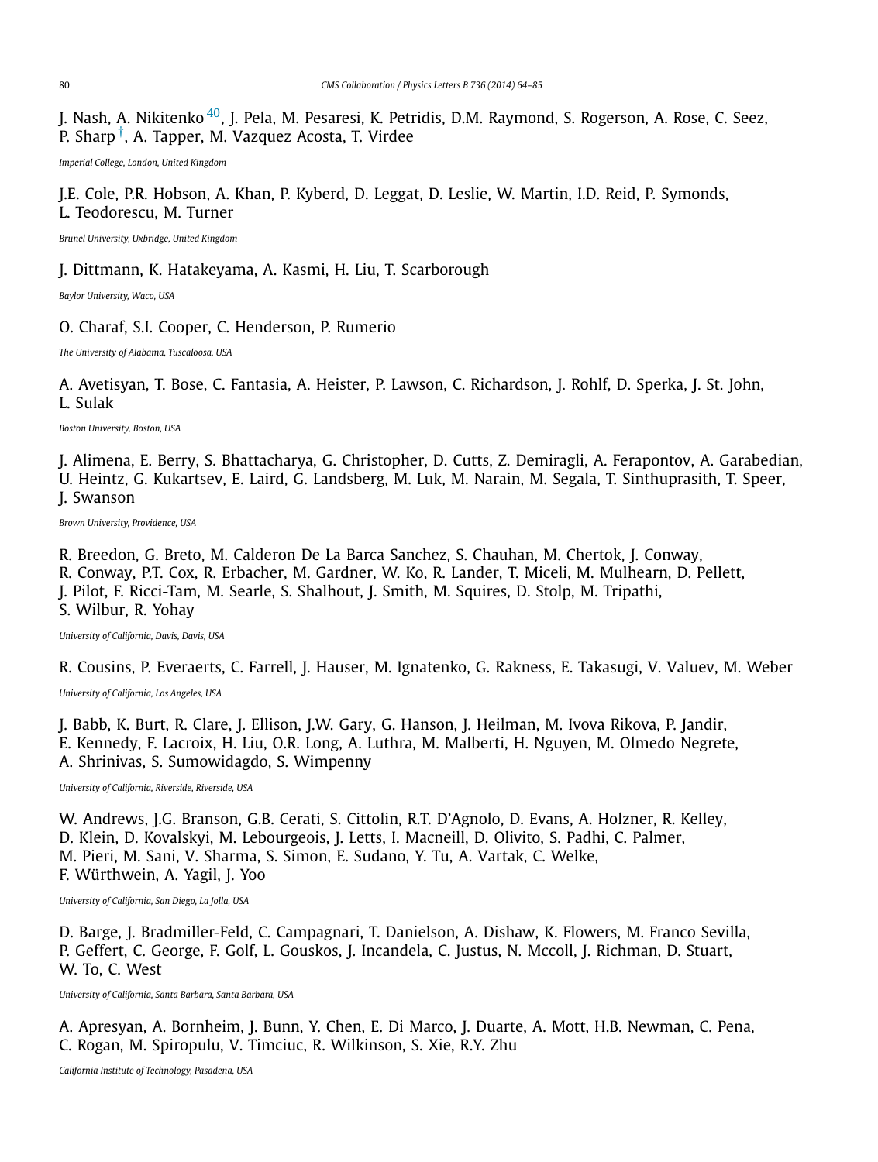J. Nash, A. Nikitenko [40,](#page-20-0) J. Pela, M. Pesaresi, K. Petridis, D.M. Raymond, S. Rogerson, A. Rose, C. Seez, P. Sharp [†,](#page-20-0) A. Tapper, M. Vazquez Acosta, T. Virdee

*Imperial College, London, United Kingdom*

J.E. Cole, P.R. Hobson, A. Khan, P. Kyberd, D. Leggat, D. Leslie, W. Martin, I.D. Reid, P. Symonds, L. Teodorescu, M. Turner

*Brunel University, Uxbridge, United Kingdom*

J. Dittmann, K. Hatakeyama, A. Kasmi, H. Liu, T. Scarborough

*Baylor University, Waco, USA*

O. Charaf, S.I. Cooper, C. Henderson, P. Rumerio

*The University of Alabama, Tuscaloosa, USA*

A. Avetisyan, T. Bose, C. Fantasia, A. Heister, P. Lawson, C. Richardson, J. Rohlf, D. Sperka, J. St. John, L. Sulak

*Boston University, Boston, USA*

J. Alimena, E. Berry, S. Bhattacharya, G. Christopher, D. Cutts, Z. Demiragli, A. Ferapontov, A. Garabedian, U. Heintz, G. Kukartsev, E. Laird, G. Landsberg, M. Luk, M. Narain, M. Segala, T. Sinthuprasith, T. Speer, J. Swanson

*Brown University, Providence, USA*

R. Breedon, G. Breto, M. Calderon De La Barca Sanchez, S. Chauhan, M. Chertok, J. Conway, R. Conway, P.T. Cox, R. Erbacher, M. Gardner, W. Ko, R. Lander, T. Miceli, M. Mulhearn, D. Pellett, J. Pilot, F. Ricci-Tam, M. Searle, S. Shalhout, J. Smith, M. Squires, D. Stolp, M. Tripathi, S. Wilbur, R. Yohay

*University of California, Davis, Davis, USA*

R. Cousins, P. Everaerts, C. Farrell, J. Hauser, M. Ignatenko, G. Rakness, E. Takasugi, V. Valuev, M. Weber

*University of California, Los Angeles, USA*

J. Babb, K. Burt, R. Clare, J. Ellison, J.W. Gary, G. Hanson, J. Heilman, M. Ivova Rikova, P. Jandir, E. Kennedy, F. Lacroix, H. Liu, O.R. Long, A. Luthra, M. Malberti, H. Nguyen, M. Olmedo Negrete, A. Shrinivas, S. Sumowidagdo, S. Wimpenny

*University of California, Riverside, Riverside, USA*

W. Andrews, J.G. Branson, G.B. Cerati, S. Cittolin, R.T. D'Agnolo, D. Evans, A. Holzner, R. Kelley, D. Klein, D. Kovalskyi, M. Lebourgeois, J. Letts, I. Macneill, D. Olivito, S. Padhi, C. Palmer, M. Pieri, M. Sani, V. Sharma, S. Simon, E. Sudano, Y. Tu, A. Vartak, C. Welke, F. Würthwein, A. Yagil, J. Yoo

*University of California, San Diego, La Jolla, USA*

D. Barge, J. Bradmiller-Feld, C. Campagnari, T. Danielson, A. Dishaw, K. Flowers, M. Franco Sevilla, P. Geffert, C. George, F. Golf, L. Gouskos, J. Incandela, C. Justus, N. Mccoll, J. Richman, D. Stuart, W. To, C. West

*University of California, Santa Barbara, Santa Barbara, USA*

A. Apresyan, A. Bornheim, J. Bunn, Y. Chen, E. Di Marco, J. Duarte, A. Mott, H.B. Newman, C. Pena, C. Rogan, M. Spiropulu, V. Timciuc, R. Wilkinson, S. Xie, R.Y. Zhu

*California Institute of Technology, Pasadena, USA*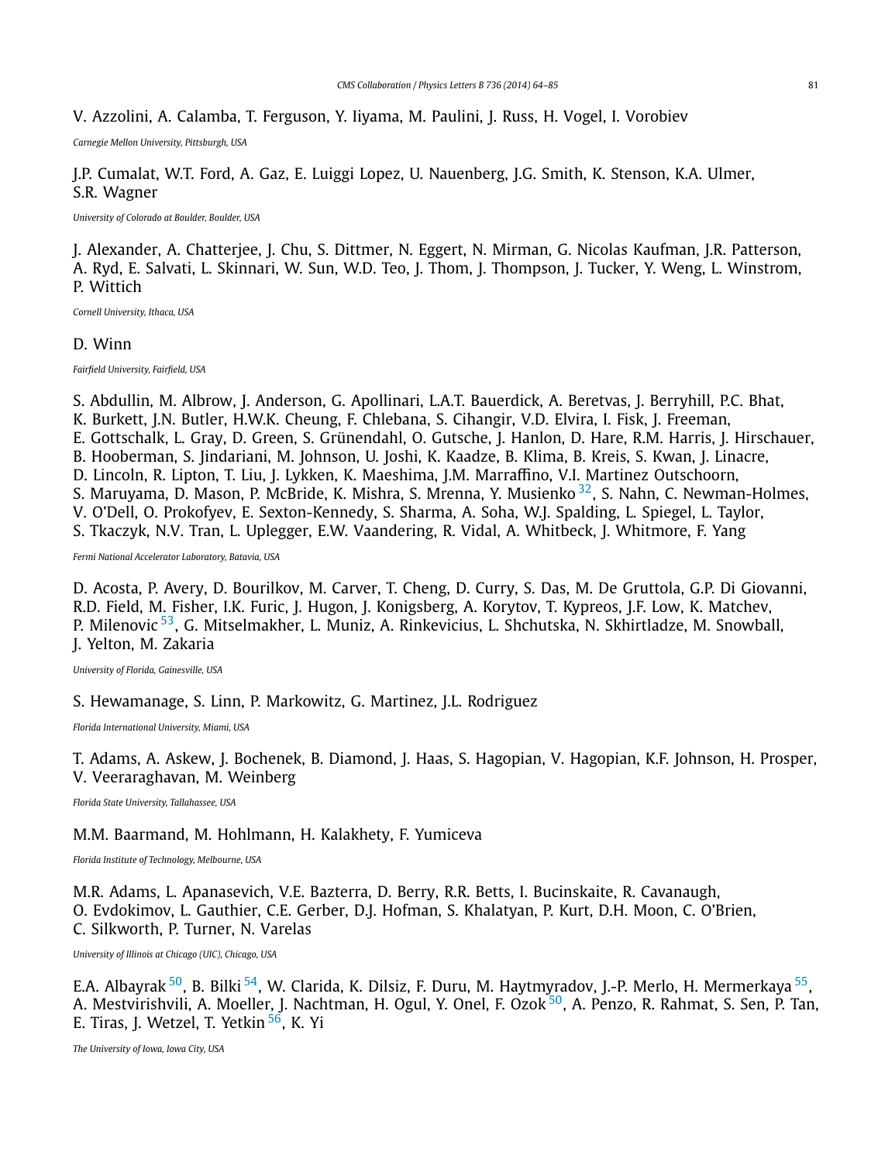## V. Azzolini, A. Calamba, T. Ferguson, Y. Iiyama, M. Paulini, J. Russ, H. Vogel, I. Vorobiev

*Carnegie Mellon University, Pittsburgh, USA*

J.P. Cumalat, W.T. Ford, A. Gaz, E. Luiggi Lopez, U. Nauenberg, J.G. Smith, K. Stenson, K.A. Ulmer, S.R. Wagner

*University of Colorado at Boulder, Boulder, USA*

J. Alexander, A. Chatterjee, J. Chu, S. Dittmer, N. Eggert, N. Mirman, G. Nicolas Kaufman, J.R. Patterson, A. Ryd, E. Salvati, L. Skinnari, W. Sun, W.D. Teo, J. Thom, J. Thompson, J. Tucker, Y. Weng, L. Winstrom, P. Wittich

*Cornell University, Ithaca, USA*

#### D. Winn

*Fairfield University, Fairfield, USA*

S. Abdullin, M. Albrow, J. Anderson, G. Apollinari, L.A.T. Bauerdick, A. Beretvas, J. Berryhill, P.C. Bhat, K. Burkett, J.N. Butler, H.W.K. Cheung, F. Chlebana, S. Cihangir, V.D. Elvira, I. Fisk, J. Freeman, E. Gottschalk, L. Gray, D. Green, S. Grünendahl, O. Gutsche, J. Hanlon, D. Hare, R.M. Harris, J. Hirschauer, B. Hooberman, S. Jindariani, M. Johnson, U. Joshi, K. Kaadze, B. Klima, B. Kreis, S. Kwan, J. Linacre, D. Lincoln, R. Lipton, T. Liu, J. Lykken, K. Maeshima, J.M. Marraffino, V.I. Martinez Outschoorn, S. Maruyama, D. Mason, P. McBride, K. Mishra, S. Mrenna, Y. Musienko [32,](#page-20-0) S. Nahn, C. Newman-Holmes, V. O'Dell, O. Prokofyev, E. Sexton-Kennedy, S. Sharma, A. Soha, W.J. Spalding, L. Spiegel, L. Taylor, S. Tkaczyk, N.V. Tran, L. Uplegger, E.W. Vaandering, R. Vidal, A. Whitbeck, J. Whitmore, F. Yang

*Fermi National Accelerator Laboratory, Batavia, USA*

D. Acosta, P. Avery, D. Bourilkov, M. Carver, T. Cheng, D. Curry, S. Das, M. De Gruttola, G.P. Di Giovanni, R.D. Field, M. Fisher, I.K. Furic, J. Hugon, J. Konigsberg, A. Korytov, T. Kypreos, J.F. Low, K. Matchev, P. Milenovic<sup>53</sup>, G. Mitselmakher, L. Muniz, A. Rinkevicius, L. Shchutska, N. Skhirtladze, M. Snowball, J. Yelton, M. Zakaria

*University of Florida, Gainesville, USA*

S. Hewamanage, S. Linn, P. Markowitz, G. Martinez, J.L. Rodriguez

*Florida International University, Miami, USA*

T. Adams, A. Askew, J. Bochenek, B. Diamond, J. Haas, S. Hagopian, V. Hagopian, K.F. Johnson, H. Prosper, V. Veeraraghavan, M. Weinberg

*Florida State University, Tallahassee, USA*

M.M. Baarmand, M. Hohlmann, H. Kalakhety, F. Yumiceva

*Florida Institute of Technology, Melbourne, USA*

M.R. Adams, L. Apanasevich, V.E. Bazterra, D. Berry, R.R. Betts, I. Bucinskaite, R. Cavanaugh, O. Evdokimov, L. Gauthier, C.E. Gerber, D.J. Hofman, S. Khalatyan, P. Kurt, D.H. Moon, C. O'Brien, C. Silkworth, P. Turner, N. Varelas

*University of Illinois at Chicago (UIC), Chicago, USA*

E.A. Albayrak <sup>[50](#page-20-0)</sup>, B. Bilki <sup>54</sup>, W. Clarida, K. Dilsiz, F. Duru, M. Haytmyradov, J.-P. Merlo, H. Mermerkaya <sup>55</sup>, A. Mestvirishvili, A. Moeller, J. Nachtman, H. Ogul, Y. Onel, F. Ozok <sup>[50](#page-20-0)</sup>, A. Penzo, R. Rahmat, S. Sen, P. Tan, E. Tiras, J. Wetzel, T. Yetkin <sup>56</sup>, K. Yi

*The University of Iowa, Iowa City, USA*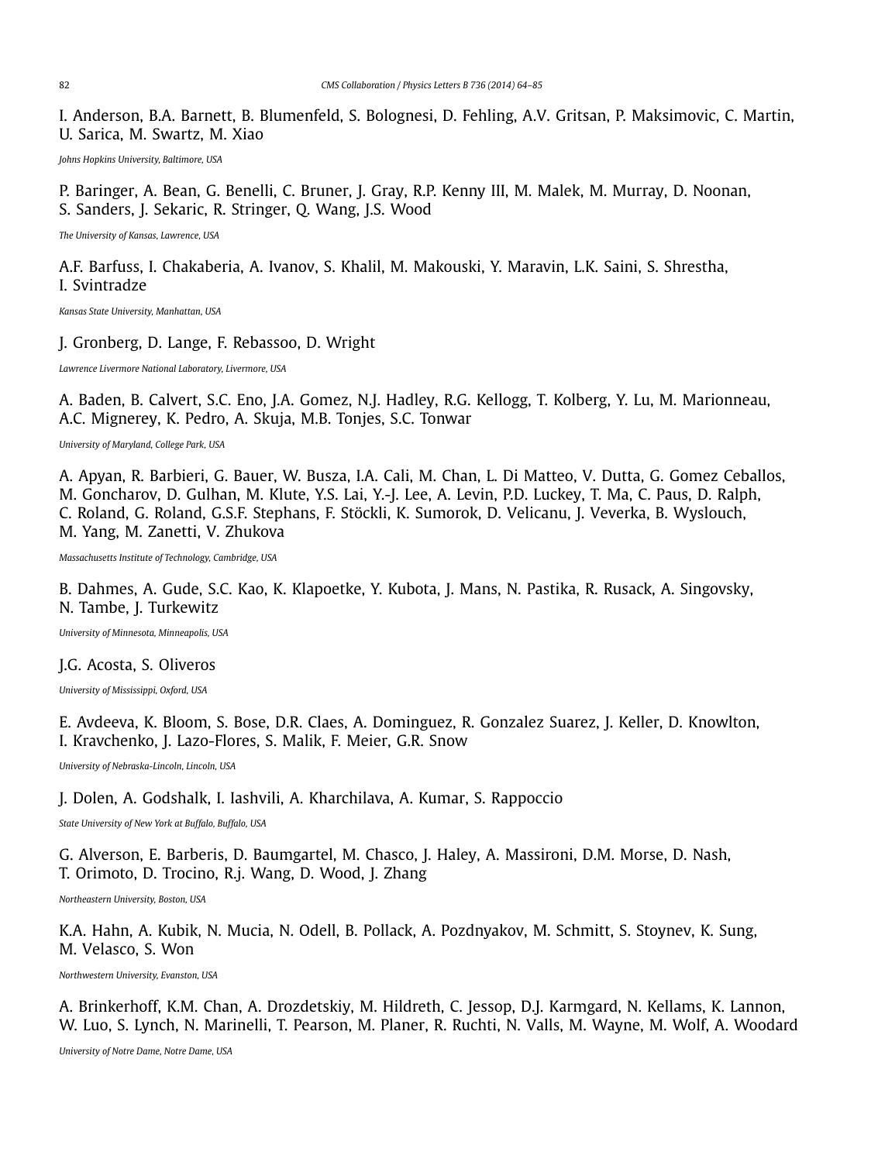I. Anderson, B.A. Barnett, B. Blumenfeld, S. Bolognesi, D. Fehling, A.V. Gritsan, P. Maksimovic, C. Martin, U. Sarica, M. Swartz, M. Xiao

*Johns Hopkins University, Baltimore, USA*

P. Baringer, A. Bean, G. Benelli, C. Bruner, J. Gray, R.P. Kenny III, M. Malek, M. Murray, D. Noonan, S. Sanders, J. Sekaric, R. Stringer, Q. Wang, J.S. Wood

*The University of Kansas, Lawrence, USA*

A.F. Barfuss, I. Chakaberia, A. Ivanov, S. Khalil, M. Makouski, Y. Maravin, L.K. Saini, S. Shrestha, I. Svintradze

*Kansas State University, Manhattan, USA*

J. Gronberg, D. Lange, F. Rebassoo, D. Wright

*Lawrence Livermore National Laboratory, Livermore, USA*

A. Baden, B. Calvert, S.C. Eno, J.A. Gomez, N.J. Hadley, R.G. Kellogg, T. Kolberg, Y. Lu, M. Marionneau, A.C. Mignerey, K. Pedro, A. Skuja, M.B. Tonjes, S.C. Tonwar

*University of Maryland, College Park, USA*

A. Apyan, R. Barbieri, G. Bauer, W. Busza, I.A. Cali, M. Chan, L. Di Matteo, V. Dutta, G. Gomez Ceballos, M. Goncharov, D. Gulhan, M. Klute, Y.S. Lai, Y.-J. Lee, A. Levin, P.D. Luckey, T. Ma, C. Paus, D. Ralph, C. Roland, G. Roland, G.S.F. Stephans, F. Stöckli, K. Sumorok, D. Velicanu, J. Veverka, B. Wyslouch, M. Yang, M. Zanetti, V. Zhukova

*Massachusetts Institute of Technology, Cambridge, USA*

B. Dahmes, A. Gude, S.C. Kao, K. Klapoetke, Y. Kubota, J. Mans, N. Pastika, R. Rusack, A. Singovsky, N. Tambe, J. Turkewitz

*University of Minnesota, Minneapolis, USA*

J.G. Acosta, S. Oliveros

*University of Mississippi, Oxford, USA*

E. Avdeeva, K. Bloom, S. Bose, D.R. Claes, A. Dominguez, R. Gonzalez Suarez, J. Keller, D. Knowlton, I. Kravchenko, J. Lazo-Flores, S. Malik, F. Meier, G.R. Snow

*University of Nebraska-Lincoln, Lincoln, USA*

J. Dolen, A. Godshalk, I. Iashvili, A. Kharchilava, A. Kumar, S. Rappoccio

*State University of New York at Buffalo, Buffalo, USA*

G. Alverson, E. Barberis, D. Baumgartel, M. Chasco, J. Haley, A. Massironi, D.M. Morse, D. Nash, T. Orimoto, D. Trocino, R.j. Wang, D. Wood, J. Zhang

*Northeastern University, Boston, USA*

K.A. Hahn, A. Kubik, N. Mucia, N. Odell, B. Pollack, A. Pozdnyakov, M. Schmitt, S. Stoynev, K. Sung, M. Velasco, S. Won

*Northwestern University, Evanston, USA*

A. Brinkerhoff, K.M. Chan, A. Drozdetskiy, M. Hildreth, C. Jessop, D.J. Karmgard, N. Kellams, K. Lannon, W. Luo, S. Lynch, N. Marinelli, T. Pearson, M. Planer, R. Ruchti, N. Valls, M. Wayne, M. Wolf, A. Woodard

*University of Notre Dame, Notre Dame, USA*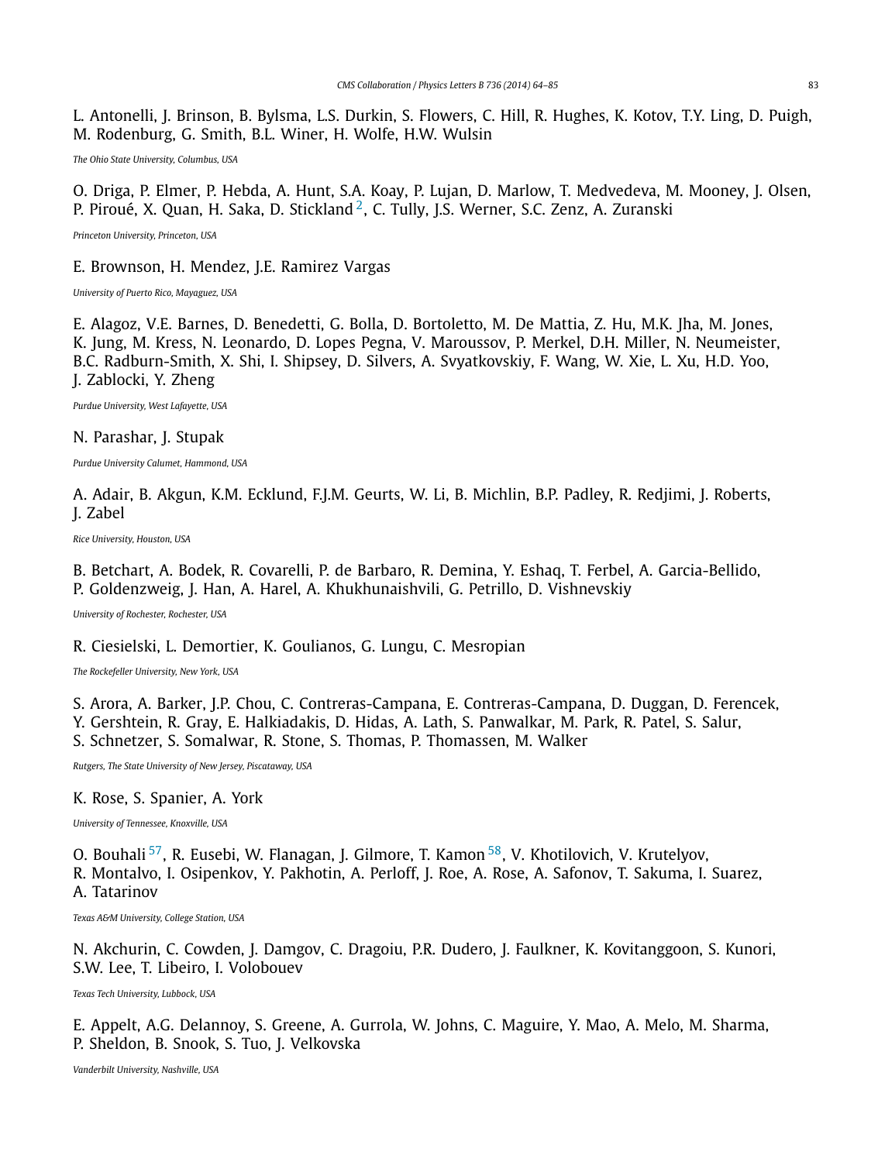L. Antonelli, J. Brinson, B. Bylsma, L.S. Durkin, S. Flowers, C. Hill, R. Hughes, K. Kotov, T.Y. Ling, D. Puigh, M. Rodenburg, G. Smith, B.L. Winer, H. Wolfe, H.W. Wulsin

*The Ohio State University, Columbus, USA*

O. Driga, P. Elmer, P. Hebda, A. Hunt, S.A. Koay, P. Lujan, D. Marlow, T. Medvedeva, M. Mooney, J. Olsen, P. Piroué, X. Quan, H. Saka, D. Stickland [2,](#page-20-0) C. Tully, J.S. Werner, S.C. Zenz, A. Zuranski

*Princeton University, Princeton, USA*

E. Brownson, H. Mendez, J.E. Ramirez Vargas

*University of Puerto Rico, Mayaguez, USA*

E. Alagoz, V.E. Barnes, D. Benedetti, G. Bolla, D. Bortoletto, M. De Mattia, Z. Hu, M.K. Jha, M. Jones, K. Jung, M. Kress, N. Leonardo, D. Lopes Pegna, V. Maroussov, P. Merkel, D.H. Miller, N. Neumeister, B.C. Radburn-Smith, X. Shi, I. Shipsey, D. Silvers, A. Svyatkovskiy, F. Wang, W. Xie, L. Xu, H.D. Yoo, J. Zablocki, Y. Zheng

*Purdue University, West Lafayette, USA*

#### N. Parashar, J. Stupak

*Purdue University Calumet, Hammond, USA*

A. Adair, B. Akgun, K.M. Ecklund, F.J.M. Geurts, W. Li, B. Michlin, B.P. Padley, R. Redjimi, J. Roberts, J. Zabel

*Rice University, Houston, USA*

B. Betchart, A. Bodek, R. Covarelli, P. de Barbaro, R. Demina, Y. Eshaq, T. Ferbel, A. Garcia-Bellido, P. Goldenzweig, J. Han, A. Harel, A. Khukhunaishvili, G. Petrillo, D. Vishnevskiy

*University of Rochester, Rochester, USA*

R. Ciesielski, L. Demortier, K. Goulianos, G. Lungu, C. Mesropian

*The Rockefeller University, New York, USA*

S. Arora, A. Barker, J.P. Chou, C. Contreras-Campana, E. Contreras-Campana, D. Duggan, D. Ferencek, Y. Gershtein, R. Gray, E. Halkiadakis, D. Hidas, A. Lath, S. Panwalkar, M. Park, R. Patel, S. Salur, S. Schnetzer, S. Somalwar, R. Stone, S. Thomas, P. Thomassen, M. Walker

*Rutgers, The State University of New Jersey, Piscataway, USA*

#### K. Rose, S. Spanier, A. York

*University of Tennessee, Knoxville, USA*

O. Bouhali<sup>[57](#page-21-0)</sup>, R. Eusebi, W. Flanagan, J. Gilmore, T. Kamon<sup>58</sup>, V. Khotilovich, V. Krutelyov, R. Montalvo, I. Osipenkov, Y. Pakhotin, A. Perloff, J. Roe, A. Rose, A. Safonov, T. Sakuma, I. Suarez, A. Tatarinov

*Texas A&M University, College Station, USA*

N. Akchurin, C. Cowden, J. Damgov, C. Dragoiu, P.R. Dudero, J. Faulkner, K. Kovitanggoon, S. Kunori, S.W. Lee, T. Libeiro, I. Volobouev

*Texas Tech University, Lubbock, USA*

E. Appelt, A.G. Delannoy, S. Greene, A. Gurrola, W. Johns, C. Maguire, Y. Mao, A. Melo, M. Sharma, P. Sheldon, B. Snook, S. Tuo, J. Velkovska

*Vanderbilt University, Nashville, USA*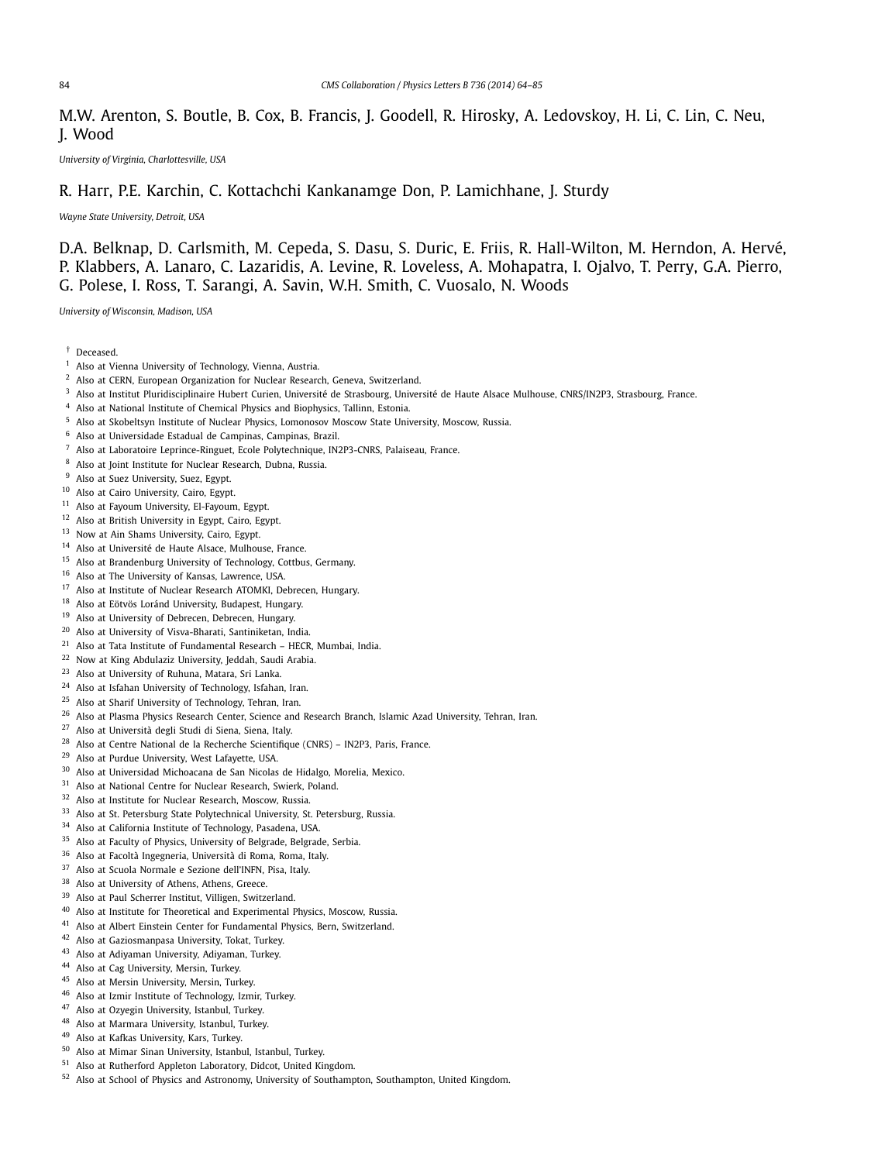## <span id="page-20-0"></span>M.W. Arenton, S. Boutle, B. Cox, B. Francis, J. Goodell, R. Hirosky, A. Ledovskoy, H. Li, C. Lin, C. Neu, J. Wood

*University of Virginia, Charlottesville, USA*

## R. Harr, P.E. Karchin, C. Kottachchi Kankanamge Don, P. Lamichhane, J. Sturdy

*Wayne State University, Detroit, USA*

D.A. Belknap, D. Carlsmith, M. Cepeda, S. Dasu, S. Duric, E. Friis, R. Hall-Wilton, M. Herndon, A. Hervé, P. Klabbers, A. Lanaro, C. Lazaridis, A. Levine, R. Loveless, A. Mohapatra, I. Ojalvo, T. Perry, G.A. Pierro, G. Polese, I. Ross, T. Sarangi, A. Savin, W.H. Smith, C. Vuosalo, N. Woods

*University of Wisconsin, Madison, USA*

- † Deceased.
- Also at Vienna University of Technology, Vienna, Austria.
- <sup>2</sup> Also at CERN, European Organization for Nuclear Research, Geneva, Switzerland.
- Also at Institut Pluridisciplinaire Hubert Curien, Université de Strasbourg, Université de Haute Alsace Mulhouse, CNRS/IN2P3, Strasbourg, France.
- Also at National Institute of Chemical Physics and Biophysics, Tallinn, Estonia.
- Also at Skobeltsyn Institute of Nuclear Physics, Lomonosov Moscow State University, Moscow, Russia.
- Also at Universidade Estadual de Campinas, Campinas, Brazil.
- Also at Laboratoire Leprince-Ringuet, Ecole Polytechnique, IN2P3-CNRS, Palaiseau, France.
- 8 Also at Joint Institute for Nuclear Research, Dubna, Russia.
- Also at Suez University, Suez, Egypt.
- Also at Cairo University, Cairo, Egypt.
- Also at Fayoum University, El-Fayoum, Egypt.
- Also at British University in Egypt, Cairo, Egypt.
- <sup>13</sup> Now at Ain Shams University, Cairo, Egypt.
- Also at Université de Haute Alsace, Mulhouse, France.
- Also at Brandenburg University of Technology, Cottbus, Germany.
- Also at The University of Kansas, Lawrence, USA.
- Also at Institute of Nuclear Research ATOMKI, Debrecen, Hungary.
- Also at Eötvös Loránd University, Budapest, Hungary.
- Also at University of Debrecen, Debrecen, Hungary.
- Also at University of Visva-Bharati, Santiniketan, India.
- Also at Tata Institute of Fundamental Research HECR, Mumbai, India.
- Now at King Abdulaziz University, Jeddah, Saudi Arabia.
- Also at University of Ruhuna, Matara, Sri Lanka.
- Also at Isfahan University of Technology, Isfahan, Iran.
- Also at Sharif University of Technology, Tehran, Iran.
- Also at Plasma Physics Research Center, Science and Research Branch, Islamic Azad University, Tehran, Iran.
- Also at Università degli Studi di Siena, Siena, Italy.
- Also at Centre National de la Recherche Scientifique (CNRS) IN2P3, Paris, France.
- Also at Purdue University, West Lafayette, USA.
- Also at Universidad Michoacana de San Nicolas de Hidalgo, Morelia, Mexico.
- Also at National Centre for Nuclear Research, Swierk, Poland.
- Also at Institute for Nuclear Research, Moscow, Russia.
- Also at St. Petersburg State Polytechnical University, St. Petersburg, Russia.
- Also at California Institute of Technology, Pasadena, USA.
- <sup>35</sup> Also at Faculty of Physics, University of Belgrade, Belgrade, Serbia.
- Also at Facoltà Ingegneria, Università di Roma, Roma, Italy.
- Also at Scuola Normale e Sezione dell'INFN, Pisa, Italy.
- <sup>38</sup> Also at University of Athens, Athens, Greece.
- Also at Paul Scherrer Institut, Villigen, Switzerland.
- Also at Institute for Theoretical and Experimental Physics, Moscow, Russia.
- Also at Albert Einstein Center for Fundamental Physics, Bern, Switzerland.
- Also at Gaziosmanpasa University, Tokat, Turkey.
- Also at Adiyaman University, Adiyaman, Turkey.
- Also at Cag University, Mersin, Turkey.
- Also at Mersin University, Mersin, Turkey.
- Also at Izmir Institute of Technology, Izmir, Turkey.
- Also at Ozyegin University, Istanbul, Turkey.
- Also at Marmara University, Istanbul, Turkey.
- Also at Kafkas University, Kars, Turkey.
- Also at Mimar Sinan University, Istanbul, Istanbul, Turkey.
- Also at Rutherford Appleton Laboratory, Didcot, United Kingdom.
- Also at School of Physics and Astronomy, University of Southampton, Southampton, United Kingdom.